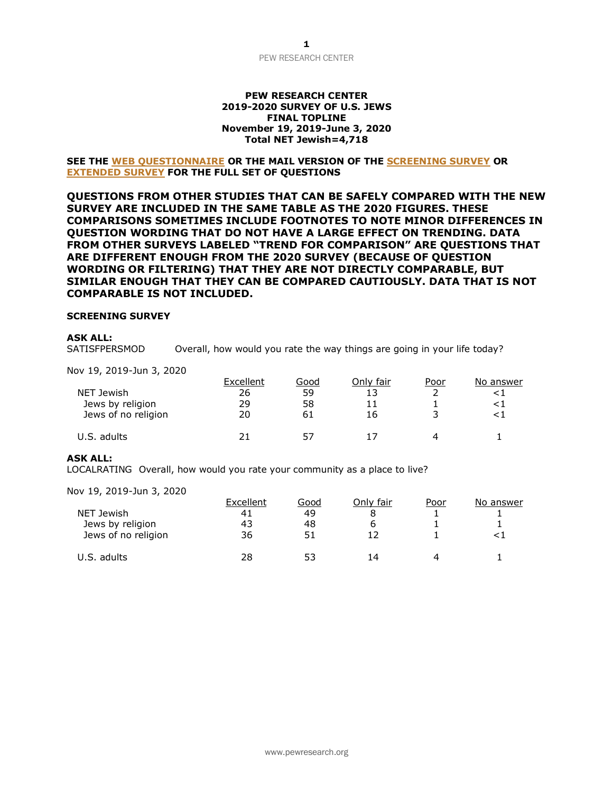### **PEW RESEARCH CENTER 2019-2020 SURVEY OF U.S. JEWS FINAL TOPLINE November 19, 2019-June 3, 2020 Total NET Jewish=4,718**

### **SEE THE [WEB QUESTIONNAIRE](https://www.pewforum.org/wp-content/uploads/sites/7/2021/04/PF_05.11.21_Web-questionnaire.pdf) OR THE MAIL VERSION OF THE [SCREENING SURVEY](https://www.pewforum.org/wp-content/uploads/sites/7/2021/04/PF_05.11.21.Jewish_Survey_Mail_Screening-Questionnaire.pdf) OR [EXTENDED](https://www.pewforum.org/wp-content/uploads/sites/7/2021/04/PF_05.11.21.Jewish_Survey_Mail_Extended_Questionnaire.pdf) SURVEY FOR THE FULL SET OF QUESTIONS**

**QUESTIONS FROM OTHER STUDIES THAT CAN BE SAFELY COMPARED WITH THE NEW SURVEY ARE INCLUDED IN THE SAME TABLE AS THE 2020 FIGURES. THESE COMPARISONS SOMETIMES INCLUDE FOOTNOTES TO NOTE MINOR DIFFERENCES IN QUESTION WORDING THAT DO NOT HAVE A LARGE EFFECT ON TRENDING. DATA FROM OTHER SURVEYS LABELED "TREND FOR COMPARISON" ARE QUESTIONS THAT ARE DIFFERENT ENOUGH FROM THE 2020 SURVEY (BECAUSE OF QUESTION WORDING OR FILTERING) THAT THEY ARE NOT DIRECTLY COMPARABLE, BUT SIMILAR ENOUGH THAT THEY CAN BE COMPARED CAUTIOUSLY. DATA THAT IS NOT COMPARABLE IS NOT INCLUDED.**

#### **SCREENING SURVEY**

### **ASK ALL:**

SATISFPERSMOD Overall, how would you rate the way things are going in your life today?

Nov 19, 2019-Jun 3, 2020

|                     | Excellent | Good | Onlv fair | <u>Poor</u> | No answer |
|---------------------|-----------|------|-----------|-------------|-----------|
| NET Jewish          | 26        | 59   |           |             |           |
| Jews by religion    | 29        | 58   |           |             |           |
| Jews of no religion | 20        | 61   | 16        |             |           |
| U.S. adults         | ን ነ       |      |           |             |           |

### **ASK ALL:**

LOCALRATING Overall, how would you rate your community as a place to live?

|                     | Excellent | Good | Only fair | Poor | No answer |
|---------------------|-----------|------|-----------|------|-----------|
| NET Jewish          | 41        | 49   |           |      |           |
| Jews by religion    | 43        | 48   |           |      |           |
| Jews of no religion | 36        | 51   |           |      |           |
| U.S. adults         | 28        | 53   | 14        | ⊿    |           |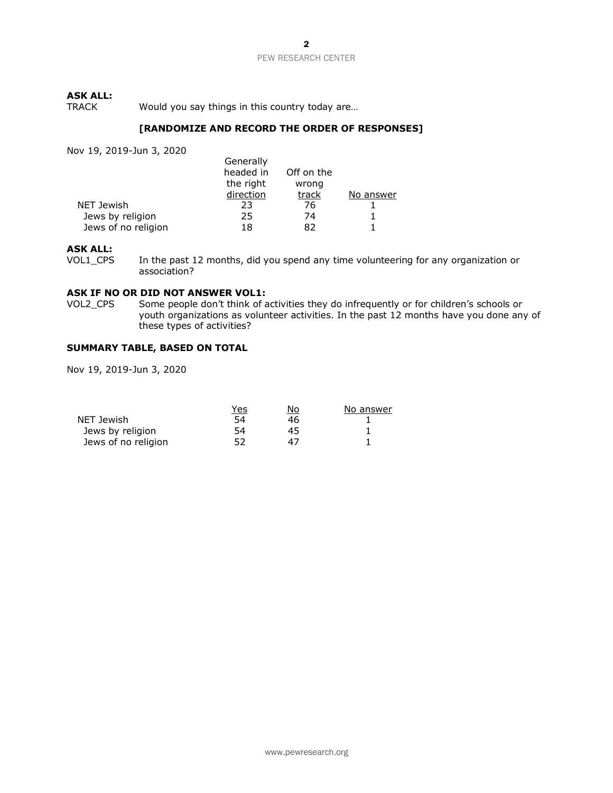# **ASK ALL:**

Would you say things in this country today are...

### **[RANDOMIZE AND RECORD THE ORDER OF RESPONSES]**

Nov 19, 2019-Jun 3, 2020

|                     | Generally |            |           |
|---------------------|-----------|------------|-----------|
|                     | headed in | Off on the |           |
|                     | the right | wrong      |           |
|                     | direction | track      | No answer |
| NET Jewish          | 23        | 76         |           |
| Jews by religion    | 25        | 74         |           |
| Jews of no religion | 18        | 82         |           |

# **ASK ALL:**

In the past 12 months, did you spend any time volunteering for any organization or association?

### **ASK IF NO OR DID NOT ANSWER VOL1:**

VOL2 CPS Some people don't think of activities they do infrequently or for children's schools or youth organizations as volunteer activities. In the past 12 months have you done any of these types of activities?

# **SUMMARY TABLE, BASED ON TOTAL**

|                     | Yes | No | No answer |
|---------------------|-----|----|-----------|
| NET Jewish          | 54  | 46 |           |
| Jews by religion    | 54  | 45 |           |
| Jews of no religion |     | 47 |           |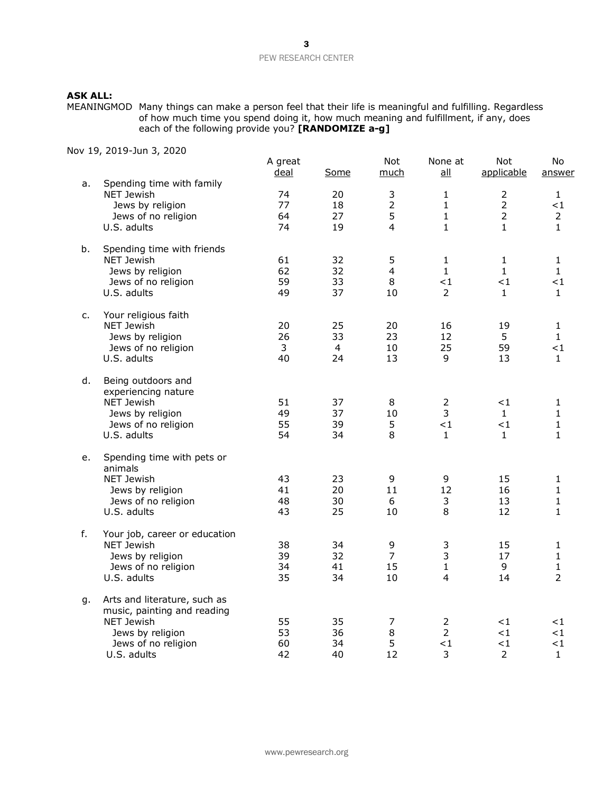# **ASK ALL:**

MEANINGMOD Many things can make a person feel that their life is meaningful and fulfilling. Regardless of how much time you spend doing it, how much meaning and fulfillment, if any, does each of the following provide you? **[RANDOMIZE a-g]**

|    |                               | A great<br>deal | Some | Not<br>much    | None at<br>all | Not<br>applicable | No<br>answer   |
|----|-------------------------------|-----------------|------|----------------|----------------|-------------------|----------------|
| a. | Spending time with family     |                 |      |                |                |                   |                |
|    | <b>NET Jewish</b>             | 74              | 20   | 3              | $\mathbf{1}$   | $\overline{2}$    | $\mathbf{1}$   |
|    | Jews by religion              | 77              | 18   | $\overline{2}$ | $\mathbf{1}$   | $\overline{2}$    | ${<}1$         |
|    | Jews of no religion           | 64              | 27   | 5              | $\mathbf{1}$   | $\overline{2}$    | $\overline{2}$ |
|    | U.S. adults                   | 74              | 19   | 4              | $\mathbf{1}$   | 1                 | 1              |
| b. | Spending time with friends    |                 |      |                |                |                   |                |
|    | <b>NET Jewish</b>             | 61              | 32   | 5              | $\mathbf 1$    | $\mathbf{1}$      | 1              |
|    | Jews by religion              | 62              | 32   | $\overline{4}$ | $\mathbf{1}$   | $\mathbf{1}$      | $\mathbf{1}$   |
|    | Jews of no religion           | 59              | 33   | 8              | $<$ 1          | ${<}1$            | $\leq$ 1       |
|    | U.S. adults                   | 49              | 37   | 10             | $\overline{2}$ | $\mathbf{1}$      | $\mathbf{1}$   |
| c. | Your religious faith          |                 |      |                |                |                   |                |
|    | NET Jewish                    | 20              | 25   | 20             | 16             | 19                | $\mathbf{1}$   |
|    | Jews by religion              | 26              | 33   | 23             | 12             | 5                 | 1              |
|    | Jews of no religion           | 3               | 4    | 10             | 25             | 59                | $<$ 1          |
|    | U.S. adults                   | 40              | 24   | 13             | 9              | 13                | $\mathbf{1}$   |
| d. | Being outdoors and            |                 |      |                |                |                   |                |
|    | experiencing nature           |                 |      |                |                |                   |                |
|    | NET Jewish                    | 51              | 37   | 8              | $\overline{2}$ | ${<}1$            | 1              |
|    | Jews by religion              | 49              | 37   | 10             | 3              | $\mathbf{1}$      | $\mathbf{1}$   |
|    | Jews of no religion           | 55              | 39   | 5              | $\leq 1$       | < 1               | $\mathbf{1}$   |
|    | U.S. adults                   | 54              | 34   | 8              | $\mathbf{1}$   | $\mathbf{1}$      | $\mathbf{1}$   |
| е. | Spending time with pets or    |                 |      |                |                |                   |                |
|    | animals                       |                 |      |                |                |                   |                |
|    | NET Jewish                    | 43              | 23   | 9              | 9              | 15                | 1              |
|    | Jews by religion              | 41              | 20   | 11             | 12             | 16                | $\mathbf{1}$   |
|    | Jews of no religion           | 48              | 30   | 6              | 3              | 13                | $\mathbf{1}$   |
|    | U.S. adults                   | 43              | 25   | 10             | 8              | 12                | 1              |
| f. | Your job, career or education |                 |      |                |                |                   |                |
|    | <b>NET Jewish</b>             | 38              | 34   | 9              | 3              | 15                | 1              |
|    | Jews by religion              | 39              | 32   | $\overline{7}$ | 3              | 17                | $\mathbf{1}$   |
|    | Jews of no religion           | 34              | 41   | 15             | $\mathbf{1}$   | 9                 | $\mathbf{1}$   |
|    | U.S. adults                   | 35              | 34   | 10             | 4              | 14                | $\overline{2}$ |
| g. | Arts and literature, such as  |                 |      |                |                |                   |                |
|    | music, painting and reading   |                 |      |                |                |                   |                |
|    | <b>NET Jewish</b>             | 55              | 35   | $\overline{7}$ | $\overline{2}$ | $<$ 1             | ${<}1$         |
|    | Jews by religion              | 53              | 36   | 8              | $\overline{2}$ | $<$ 1             | ${<}1$         |
|    | Jews of no religion           | 60              | 34   | 5              | $<$ 1          | $<$ 1             | ${<}1$         |
|    | U.S. adults                   | 42              | 40   | 12             | 3              | $\overline{2}$    | 1              |
|    |                               |                 |      |                |                |                   |                |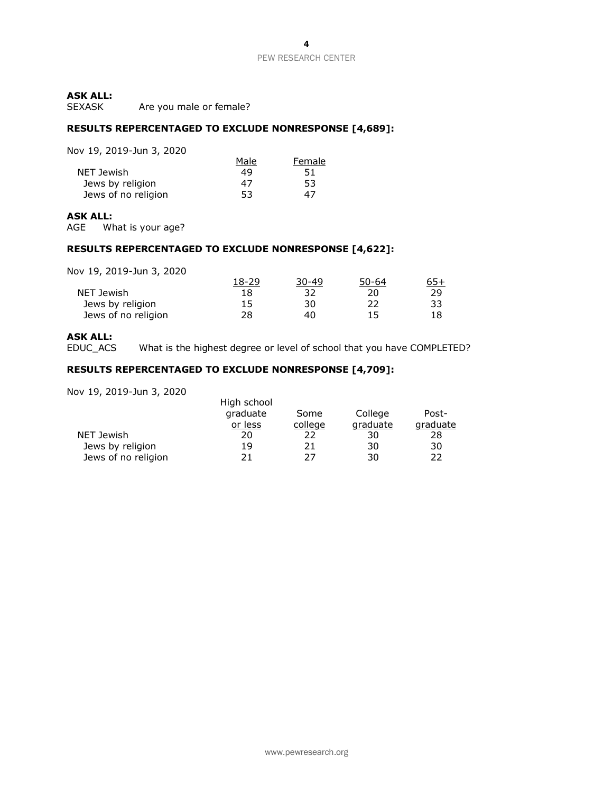# **ASK ALL:**

Are you male or female?

### **RESULTS REPERCENTAGED TO EXCLUDE NONRESPONSE [4,689]:**

Nov 19, 2019-Jun 3, 2020

| OV 19, 2019 JUN 9, 2020 |      |        |
|-------------------------|------|--------|
|                         | Male | Female |
| NET Jewish              | 49   | 51     |
| Jews by religion        | 47   | 53     |
| Jews of no religion     | 53   | 47     |

### **ASK ALL:**

AGE What is your age?

#### **RESULTS REPERCENTAGED TO EXCLUDE NONRESPONSE [4,622]:**

Nov 19, 2019-Jun 3, 2020

|                     | 18-29 | $30 - 49$ | $50 - 64$ |    |
|---------------------|-------|-----------|-----------|----|
| NET Jewish          | 18    | 32        | 20        | 29 |
| Jews by religion    | 15    | 30        | 22        | 33 |
| Jews of no religion | 28    | 40        | 15        |    |

### **ASK ALL:**

EDUC\_ACS What is the highest degree or level of school that you have COMPLETED?

### **RESULTS REPERCENTAGED TO EXCLUDE NONRESPONSE [4,709]:**

| <i> c</i> uis sun <i>si c</i> ucu |             |         |          |          |
|-----------------------------------|-------------|---------|----------|----------|
|                                   | High school |         |          |          |
|                                   | graduate    | Some    | College  | Post-    |
|                                   | or less     | college | graduate | graduate |
| NET Jewish                        | 20          | 22      | 30       | 28       |
| Jews by religion                  | 19          | 21      | 30       | 30       |
| Jews of no religion               | 21          | 27      | 30       | 22       |
|                                   |             |         |          |          |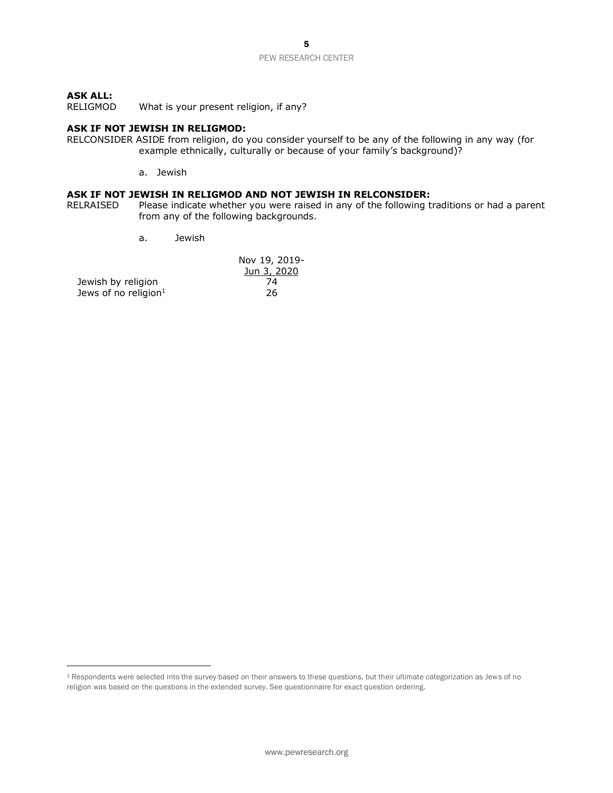# **ASK ALL:**

What is your present religion, if any?

### **ASK IF NOT JEWISH IN RELIGMOD:**

- RELCONSIDER ASIDE from religion, do you consider yourself to be any of the following in any way (for example ethnically, culturally or because of your family's background)?
	- a. Jewish

### **ASK IF NOT JEWISH IN RELIGMOD AND NOT JEWISH IN RELCONSIDER:**

- RELRAISED Please indicate whether you were raised in any of the following traditions or had a parent from any of the following backgrounds.
	- a. Jewish

|                         | Nov 19, 2019- |
|-------------------------|---------------|
|                         | Jun 3, 2020   |
| Jewish by religion      | 74            |
| Jews of no religion $1$ | 26            |

<sup>1</sup> Respondents were selected into the survey based on their answers to these questions, but their ultimate categorization as Jews of no religion was based on the questions in the extended survey. See questionnaire for exact question ordering.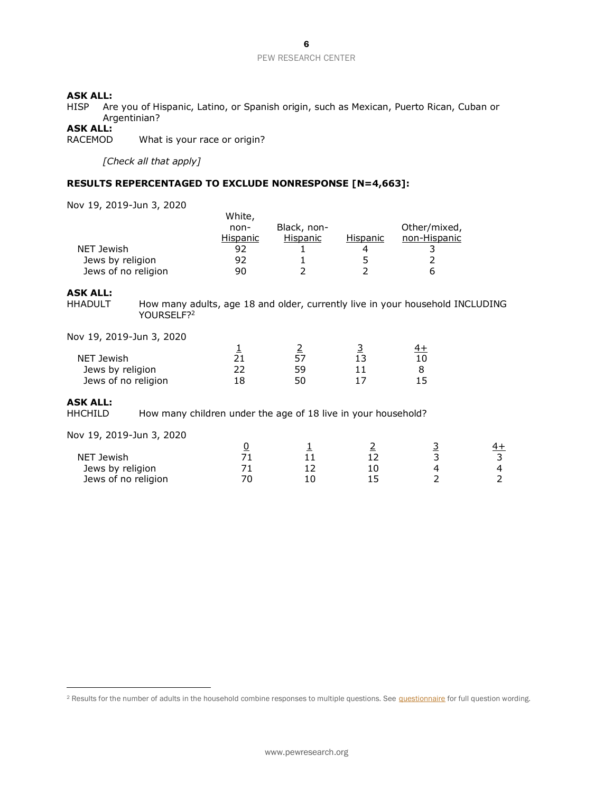### **ASK ALL:**

HISP Are you of Hispanic, Latino, or Spanish origin, such as Mexican, Puerto Rican, Cuban or Argentinian?

# **ASK ALL:**

What is your race or origin?

*[Check all that apply]*

### **RESULTS REPERCENTAGED TO EXCLUDE NONRESPONSE [N=4,663]:**

White,

Nov 19, 2019-Jun 3, 2020

Jews of no religion

|                                                                                 | <i>v</i> ulte,  |                 |                 |                                                                               |           |
|---------------------------------------------------------------------------------|-----------------|-----------------|-----------------|-------------------------------------------------------------------------------|-----------|
|                                                                                 | non-            | Black, non-     |                 | Other/mixed,                                                                  |           |
|                                                                                 | <u>Hispanic</u> | <b>Hispanic</b> | <u>Hispanic</u> | non-Hispanic                                                                  |           |
| NET Jewish                                                                      | 92              |                 | 4               | 3                                                                             |           |
| Jews by religion                                                                | 92              | 1               | 5               | 2                                                                             |           |
| Jews of no religion                                                             | 90              | $\overline{2}$  | 2               | 6                                                                             |           |
| <b>ASK ALL:</b>                                                                 |                 |                 |                 |                                                                               |           |
| <b>HHADULT</b><br>YOURSELF? <sup>2</sup>                                        |                 |                 |                 | How many adults, age 18 and older, currently live in your household INCLUDING |           |
| Nov 19, 2019-Jun 3, 2020                                                        |                 |                 |                 |                                                                               |           |
|                                                                                 | $\frac{1}{21}$  | $rac{2}{57}$    | $\frac{3}{13}$  | $\frac{4+}{2}$                                                                |           |
| NET Jewish                                                                      |                 |                 |                 | 10                                                                            |           |
| Jews by religion                                                                | 22              | 59              | 11              | 8                                                                             |           |
| Jews of no religion                                                             | 18              | 50              | 17              | 15                                                                            |           |
| <b>ASK ALL:</b>                                                                 |                 |                 |                 |                                                                               |           |
| How many children under the age of 18 live in your household?<br><b>HHCHILD</b> |                 |                 |                 |                                                                               |           |
| Nov 19, 2019-Jun 3, 2020                                                        |                 |                 |                 |                                                                               |           |
|                                                                                 | <u>0</u>        | 1               | 2               |                                                                               | <u>4+</u> |
| NET Jewish                                                                      | 71              | 11              | 12              | $\frac{3}{3}$                                                                 | 3         |
| Jews by religion                                                                | 71              | 12              | 10              | $\overline{\mathbf{4}}$                                                       | 4         |

Jews by religion 71 12 10 4 4

<sup>&</sup>lt;sup>2</sup> Results for the number of adults in the household combine responses to multiple questions. See **questionnaire** for full question wording.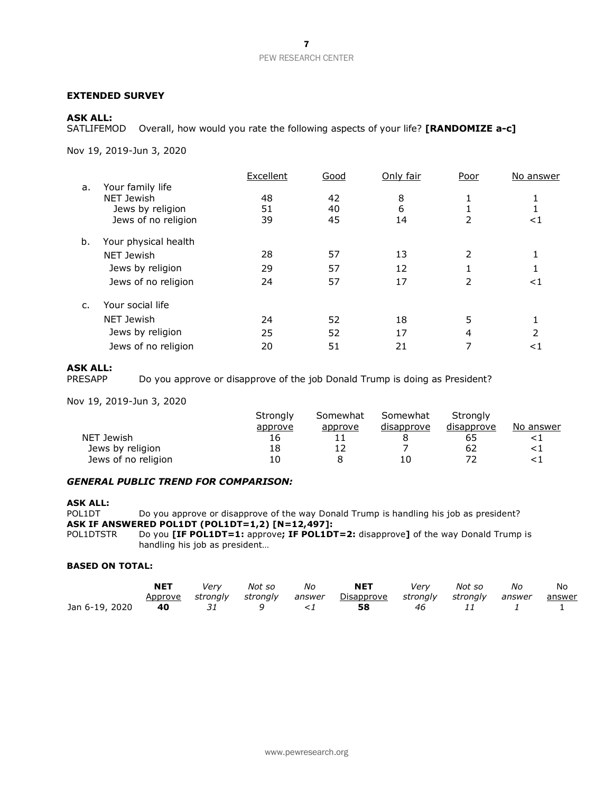### **EXTENDED SURVEY**

### **ASK ALL:**

SATLIFEMOD Overall, how would you rate the following aspects of your life? **[RANDOMIZE a-c]** 

Nov 19, 2019-Jun 3, 2020

|    |                                                                                      | Excellent      | Good           | Only fair      | Poor        | No answer |
|----|--------------------------------------------------------------------------------------|----------------|----------------|----------------|-------------|-----------|
| a. | Your family life<br><b>NET Jewish</b><br>Jews by religion<br>Jews of no religion     | 48<br>51<br>39 | 42<br>40<br>45 | 8<br>6<br>14   | 2           | ${<}1$    |
| b. | Your physical health<br><b>NET Jewish</b><br>Jews by religion<br>Jews of no religion | 28<br>29<br>24 | 57<br>57<br>57 | 13<br>12<br>17 | 2<br>2      | ${<}1$    |
| C. | Your social life<br><b>NET Jewish</b><br>Jews by religion<br>Jews of no religion     | 24<br>25<br>20 | 52<br>52<br>51 | 18<br>17<br>21 | 5<br>4<br>7 | <1        |

# **ASK ALL:**

PRESAPP Do you approve or disapprove of the job Donald Trump is doing as President?

Nov 19, 2019-Jun 3, 2020

|                     | Strongly | Somewhat | Somewhat   | Stronaly   |           |
|---------------------|----------|----------|------------|------------|-----------|
|                     | approve  | approve  | disapprove | disapprove | No answer |
| NET Jewish          | 16       |          |            | 65         |           |
| Jews by religion    | 18       |          |            | 62         |           |
| Jews of no religion | 10       |          | 10         |            |           |

### *GENERAL PUBLIC TREND FOR COMPARISON:*

**ASK ALL:**

Do you approve or disapprove of the way Donald Trump is handling his job as president? **ASK IF ANSWERED POL1DT (POL1DT=1,2) [N=12,497]:**

POL1DTSTR Do you **[IF POL1DT=1:** approve**; IF POL1DT=2:** disapprove**]** of the way Donald Trump is handling his job as president…

### **BASED ON TOTAL:**

|                | NET     | Verv | Not so | No | <b>NET</b>                                                          | Verv | Not so | No | No |
|----------------|---------|------|--------|----|---------------------------------------------------------------------|------|--------|----|----|
|                | Approve |      |        |    | strongly strongly answer Disapprove strongly strongly answer answer |      |        |    |    |
| Jan 6-19, 2020 | 40      |      |        |    | 58                                                                  | 46   |        |    |    |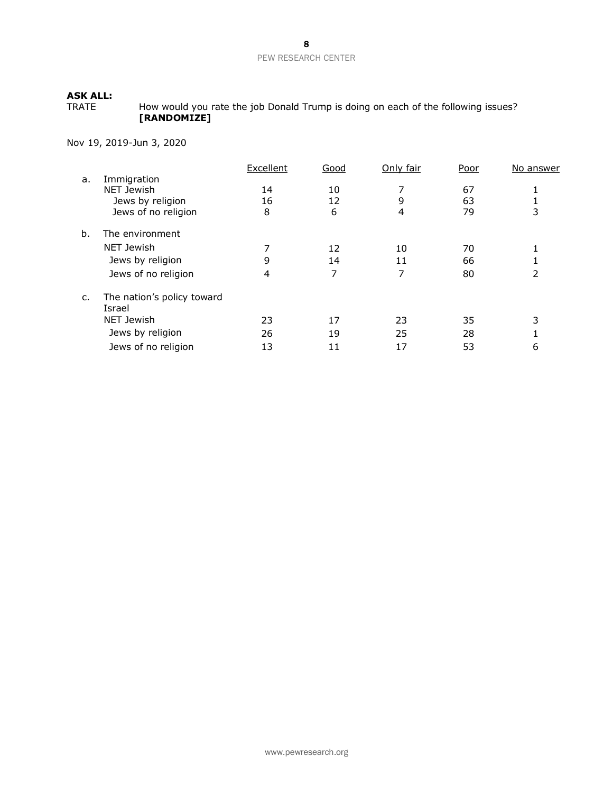TRATE How would you rate the job Donald Trump is doing on each of the following issues? **[RANDOMIZE]**

|    |                                      | Excellent | Good | Only fair | Poor | No answer |
|----|--------------------------------------|-----------|------|-----------|------|-----------|
| a. | Immigration                          |           |      |           |      |           |
|    | <b>NET Jewish</b>                    | 14        | 10   |           | 67   |           |
|    | Jews by religion                     | 16        | 12   | 9         | 63   |           |
|    | Jews of no religion                  | 8         | 6    | 4         | 79   |           |
| b. | The environment                      |           |      |           |      |           |
|    | NET Jewish                           |           | 12   | 10        | 70   |           |
|    | Jews by religion                     | 9         | 14   | 11        | 66   |           |
|    | Jews of no religion                  | 4         | 7    | 7         | 80   | 2         |
| c. | The nation's policy toward<br>Israel |           |      |           |      |           |
|    | NET Jewish                           | 23        | 17   | 23        | 35   | 3         |
|    | Jews by religion                     | 26        | 19   | 25        | 28   |           |
|    | Jews of no religion                  | 13        | 11   | 17        | 53   | 6         |
|    |                                      |           |      |           |      |           |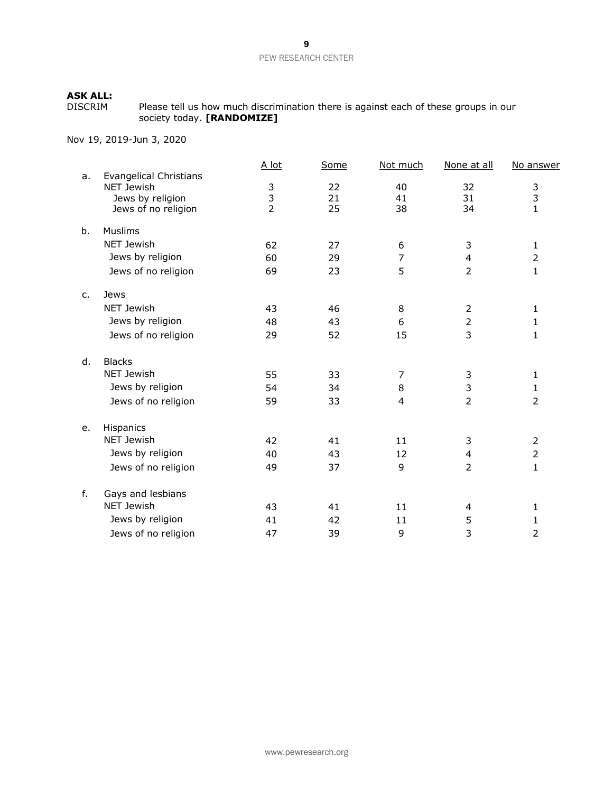DISCRIM Please tell us how much discrimination there is against each of these groups in our society today. **[RANDOMIZE]**

|    |                                                    | A lot          | Some | Not much | None at all              | No answer      |
|----|----------------------------------------------------|----------------|------|----------|--------------------------|----------------|
| a. | <b>Evangelical Christians</b><br><b>NET Jewish</b> |                | 22   | 40       | 32                       |                |
|    | Jews by religion                                   | $\frac{3}{3}$  | 21   | 41       | 31                       | $\frac{3}{3}$  |
|    | Jews of no religion                                | $\overline{2}$ | 25   | 38       | 34                       | $\mathbf{1}$   |
| b. | <b>Muslims</b>                                     |                |      |          |                          |                |
|    | NET Jewish                                         | 62             | 27   | 6        | 3                        | 1              |
|    | Jews by religion                                   | 60             | 29   | 7        | $\overline{4}$           | $\overline{2}$ |
|    | Jews of no religion                                | 69             | 23   | 5        | $\overline{2}$           | $\mathbf{1}$   |
| c. | Jews                                               |                |      |          |                          |                |
|    | <b>NET Jewish</b>                                  | 43             | 46   | 8        | 2                        | 1              |
|    | Jews by religion                                   | 48             | 43   | 6        | $\overline{2}$           | 1              |
|    | Jews of no religion                                | 29             | 52   | 15       | 3                        | 1              |
| d. | <b>Blacks</b>                                      |                |      |          |                          |                |
|    | NET Jewish                                         | 55             | 33   | 7        | 3                        | $\mathbf{1}$   |
|    | Jews by religion                                   | 54             | 34   | 8        | 3                        | 1              |
|    | Jews of no religion                                | 59             | 33   | 4        | $\overline{2}$           | $\overline{2}$ |
| e. | Hispanics                                          |                |      |          |                          |                |
|    | <b>NET Jewish</b>                                  | 42             | 41   | 11       | 3                        | 2              |
|    | Jews by religion                                   | 40             | 43   | 12       | $\overline{\mathcal{L}}$ | $\overline{2}$ |
|    | Jews of no religion                                | 49             | 37   | 9        | $\overline{2}$           | $\mathbf{1}$   |
| f. | Gays and lesbians                                  |                |      |          |                          |                |
|    | <b>NET Jewish</b>                                  | 43             | 41   | 11       | 4                        | 1              |
|    | Jews by religion                                   | 41             | 42   | 11       | 5                        | 1              |
|    | Jews of no religion                                | 47             | 39   | 9        | 3                        | $\overline{2}$ |
|    |                                                    |                |      |          |                          |                |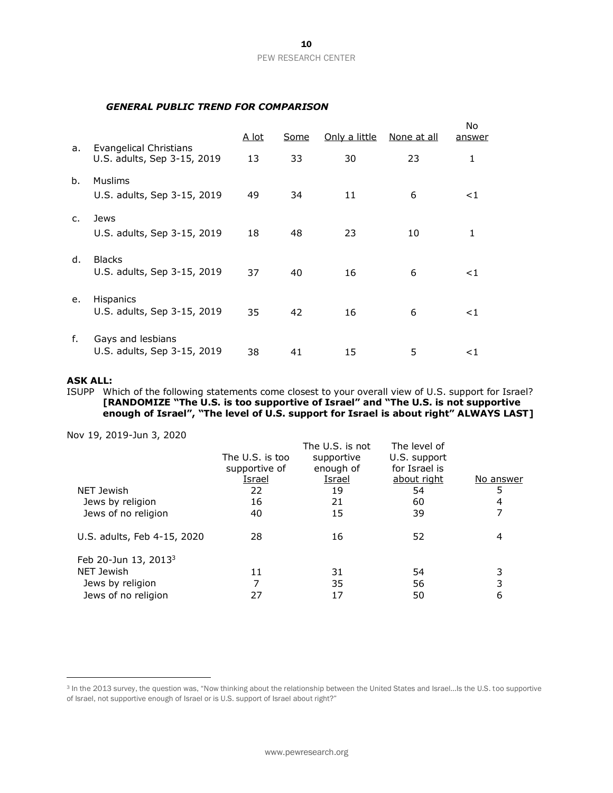### *GENERAL PUBLIC TREND FOR COMPARISON*

|                |                                                       | <u>A lot</u> | Some | Only a little | None at all | No<br>answer |
|----------------|-------------------------------------------------------|--------------|------|---------------|-------------|--------------|
| a.             | Evangelical Christians<br>U.S. adults, Sep 3-15, 2019 | 13           | 33   | 30            | 23          | 1            |
| b.             | Muslims<br>U.S. adults, Sep 3-15, 2019                | 49           | 34   | 11            | 6           | $<$ 1        |
| C.             | Jews<br>U.S. adults, Sep 3-15, 2019                   | 18           | 48   | 23            | 10          | $\mathbf{1}$ |
| $\mathsf{d}$ . | <b>Blacks</b><br>U.S. adults, Sep 3-15, 2019          | 37           | 40   | 16            | 6           | ${<}1$       |
| е.             | <b>Hispanics</b><br>U.S. adults, Sep 3-15, 2019       | 35           | 42   | 16            | 6           | $<$ 1        |
| f.             | Gays and lesbians<br>U.S. adults, Sep 3-15, 2019      | 38           | 41   | 15            | 5           | ${<}1$       |

### **ASK ALL:**

ISUPP Which of the following statements come closest to your overall view of U.S. support for Israel? **[RANDOMIZE "The U.S. is too supportive of Israel" and "The U.S. is not supportive enough of Israel", "The level of U.S. support for Israel is about right" ALWAYS LAST]**

|               | The U.S. is not                  | The level of            |                               |
|---------------|----------------------------------|-------------------------|-------------------------------|
|               |                                  |                         |                               |
|               |                                  |                         |                               |
| <u>Israel</u> | Israel                           | about right             | No answer                     |
| 22            | 19                               | 54                      | 5                             |
| 16            | 21                               | 60                      | 4                             |
| 40            | 15                               | 39                      |                               |
| 28            | 16                               | 52                      | 4                             |
|               |                                  |                         |                               |
| 11            | 31                               | 54                      | 3                             |
| 7             | 35                               | 56                      | 3                             |
| 27            | 17                               | 50                      | 6                             |
|               | The U.S. is too<br>supportive of | supportive<br>enough of | U.S. support<br>for Israel is |

<sup>&</sup>lt;sup>3</sup> In the 2013 survey, the question was, "Now thinking about the relationship between the United States and Israel...Is the U.S. too supportive of Israel, not supportive enough of Israel or is U.S. support of Israel about right?"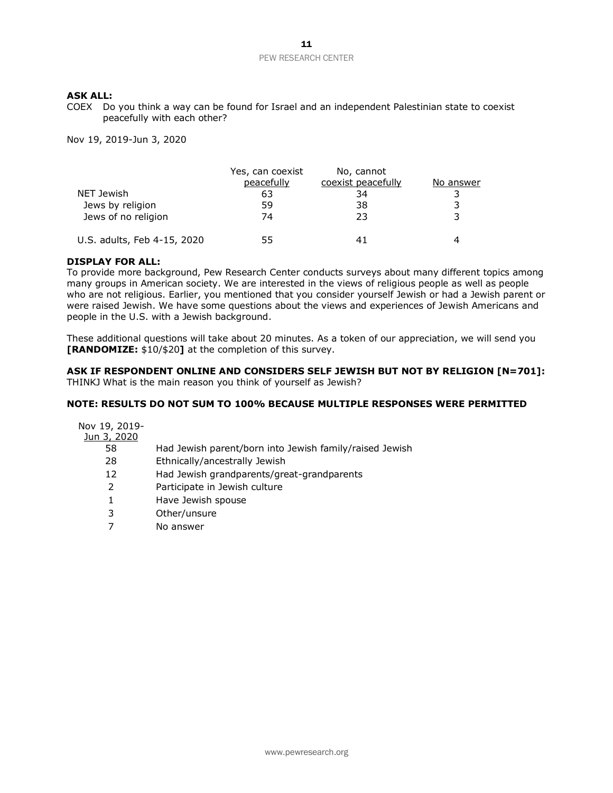COEX Do you think a way can be found for Israel and an independent Palestinian state to coexist peacefully with each other?

Nov 19, 2019-Jun 3, 2020

|                             | Yes, can coexist | No, cannot         |           |
|-----------------------------|------------------|--------------------|-----------|
|                             | peacefully       | coexist peacefully | No answer |
| NET Jewish                  | 63               | 34                 | 3         |
| Jews by religion            | 59               | 38                 | 3         |
| Jews of no religion         | 74               | フ3                 | 3         |
| U.S. adults, Feb 4-15, 2020 | 55               |                    | Δ         |

### **DISPLAY FOR ALL:**

To provide more background, Pew Research Center conducts surveys about many different topics among many groups in American society. We are interested in the views of religious people as well as people who are not religious. Earlier, you mentioned that you consider yourself Jewish or had a Jewish parent or were raised Jewish. We have some questions about the views and experiences of Jewish Americans and people in the U.S. with a Jewish background.

These additional questions will take about 20 minutes. As a token of our appreciation, we will send you **[RANDOMIZE:** \$10/\$20**]** at the completion of this survey.

#### **ASK IF RESPONDENT ONLINE AND CONSIDERS SELF JEWISH BUT NOT BY RELIGION [N=701]:** THINKJ What is the main reason you think of yourself as Jewish?

### **NOTE: RESULTS DO NOT SUM TO 100% BECAUSE MULTIPLE RESPONSES WERE PERMITTED**

| Nov 19, 2019- |                                                         |
|---------------|---------------------------------------------------------|
| Jun 3, 2020   |                                                         |
| 58            | Had Jewish parent/born into Jewish family/raised Jewish |
| 28            | Ethnically/ancestrally Jewish                           |
| 12            | Had Jewish grandparents/great-grandparents              |
| 2             | Participate in Jewish culture                           |
| 1             | Have Jewish spouse                                      |
| 3             | Other/unsure                                            |
|               | No answer                                               |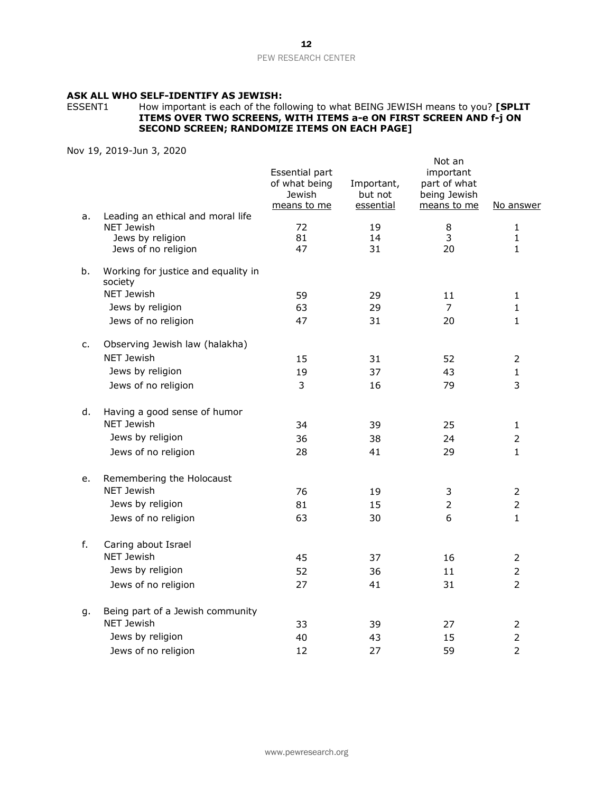# **ASK ALL WHO SELF-IDENTIFY AS JEWISH:**

#### ESSENT1 How important is each of the following to what BEING JEWISH means to you? **[SPLIT ITEMS OVER TWO SCREENS, WITH ITEMS a-e ON FIRST SCREEN AND f-j ON SECOND SCREEN; RANDOMIZE ITEMS ON EACH PAGE]**

| a. | Leading an ethical and moral life                            | Essential part<br>of what being<br>Jewish<br>means to me | Important,<br>but not<br>essential | Not an<br>important<br>part of what<br>being Jewish<br>means to me | <u>No answer</u>                  |
|----|--------------------------------------------------------------|----------------------------------------------------------|------------------------------------|--------------------------------------------------------------------|-----------------------------------|
|    | <b>NET Jewish</b><br>Jews by religion<br>Jews of no religion | 72<br>81<br>47                                           | 19<br>14<br>31                     | 8<br>3<br>20                                                       | $\mathbf{1}$<br>1<br>$\mathbf{1}$ |
| b. | Working for justice and equality in<br>society               |                                                          |                                    |                                                                    |                                   |
|    | <b>NET Jewish</b>                                            | 59                                                       | 29                                 | 11                                                                 | $\mathbf{1}$                      |
|    | Jews by religion                                             | 63                                                       | 29                                 | 7                                                                  | $\mathbf{1}$                      |
|    | Jews of no religion                                          | 47                                                       | 31                                 | 20                                                                 | $\mathbf{1}$                      |
| c. | Observing Jewish law (halakha)                               |                                                          |                                    |                                                                    |                                   |
|    | <b>NET Jewish</b>                                            | 15                                                       | 31                                 | 52                                                                 | 2                                 |
|    | Jews by religion                                             | 19                                                       | 37                                 | 43                                                                 | $\mathbf{1}$                      |
|    | Jews of no religion                                          | 3                                                        | 16                                 | 79                                                                 | 3                                 |
| d. | Having a good sense of humor                                 |                                                          |                                    |                                                                    |                                   |
|    | <b>NET Jewish</b>                                            | 34                                                       | 39                                 | 25                                                                 | $\mathbf{1}$                      |
|    | Jews by religion                                             | 36                                                       | 38                                 | 24                                                                 | 2                                 |
|    | Jews of no religion                                          | 28                                                       | 41                                 | 29                                                                 | $\mathbf{1}$                      |
| e. | Remembering the Holocaust                                    |                                                          |                                    |                                                                    |                                   |
|    | <b>NET Jewish</b>                                            | 76                                                       | 19                                 | 3                                                                  | 2                                 |
|    | Jews by religion                                             | 81                                                       | 15                                 | $\overline{2}$                                                     | $\overline{2}$                    |
|    | Jews of no religion                                          | 63                                                       | 30                                 | 6                                                                  | $\mathbf{1}$                      |
| f. | Caring about Israel                                          |                                                          |                                    |                                                                    |                                   |
|    | <b>NET Jewish</b>                                            | 45                                                       | 37                                 | 16                                                                 | $\overline{2}$                    |
|    | Jews by religion                                             | 52                                                       | 36                                 | 11                                                                 | $\overline{2}$                    |
|    | Jews of no religion                                          | 27                                                       | 41                                 | 31                                                                 | $\overline{2}$                    |
| g. | Being part of a Jewish community                             |                                                          |                                    |                                                                    |                                   |
|    | <b>NET Jewish</b>                                            | 33                                                       | 39                                 | 27                                                                 | $\overline{2}$                    |
|    | Jews by religion                                             | 40                                                       | 43                                 | 15                                                                 | $\overline{2}$                    |
|    | Jews of no religion                                          | 12                                                       | 27                                 | 59                                                                 | $\overline{2}$                    |
|    |                                                              |                                                          |                                    |                                                                    |                                   |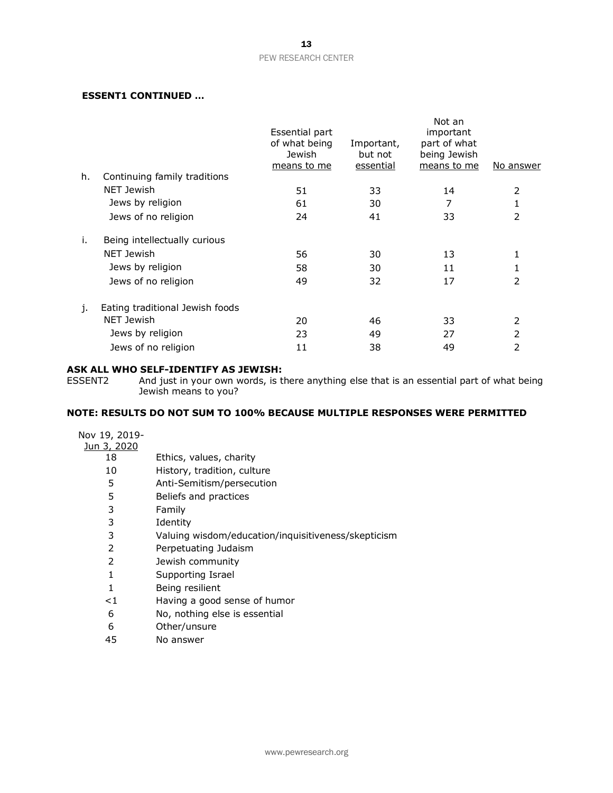### **ESSENT1 CONTINUED …**

|    |                                 | Essential part<br>of what being<br>Jewish<br>means to me | Important,<br>but not<br>essential | Not an<br>important<br>part of what<br>being Jewish<br>means to me | No answer |
|----|---------------------------------|----------------------------------------------------------|------------------------------------|--------------------------------------------------------------------|-----------|
| h. | Continuing family traditions    |                                                          |                                    |                                                                    |           |
|    | NET Jewish                      | 51                                                       | 33                                 | 14                                                                 | 2         |
|    | Jews by religion                | 61                                                       | 30                                 | 7                                                                  | 1         |
|    | Jews of no religion             | 24                                                       | 41                                 | 33                                                                 | 2         |
| i. | Being intellectually curious    |                                                          |                                    |                                                                    |           |
|    | <b>NET Jewish</b>               | 56                                                       | 30                                 | 13                                                                 | 1         |
|    | Jews by religion                | 58                                                       | 30                                 | 11                                                                 | 1         |
|    | Jews of no religion             | 49                                                       | 32                                 | 17                                                                 | 2         |
| j. | Eating traditional Jewish foods |                                                          |                                    |                                                                    |           |
|    | NET Jewish                      | 20                                                       | 46                                 | 33                                                                 | 2         |
|    | Jews by religion                | 23                                                       | 49                                 | 27                                                                 | 2         |
|    | Jews of no religion             | 11                                                       | 38                                 | 49                                                                 | 2         |

# **ASK ALL WHO SELF-IDENTIFY AS JEWISH:**<br>ESSENT2 And just in your own words, is tl

And just in your own words, is there anything else that is an essential part of what being Jewish means to you?

# **NOTE: RESULTS DO NOT SUM TO 100% BECAUSE MULTIPLE RESPONSES WERE PERMITTED**

| Nov 19, 2019-      |                                                     |
|--------------------|-----------------------------------------------------|
| <u>Jun 3, 2020</u> |                                                     |
| 18                 | Ethics, values, charity                             |
| 10                 | History, tradition, culture                         |
| 5                  | Anti-Semitism/persecution                           |
| 5                  | Beliefs and practices                               |
| 3                  | Family                                              |
| 3                  | Identity                                            |
| 3                  | Valuing wisdom/education/inquisitiveness/skepticism |
| $\mathcal{P}$      | Perpetuating Judaism                                |
| 2                  | Jewish community                                    |
| 1                  | Supporting Israel                                   |
| 1                  | Being resilient                                     |
| ${<}1$             | Having a good sense of humor                        |
| 6                  | No, nothing else is essential                       |
| 6                  | Other/unsure                                        |
|                    |                                                     |

45 No answer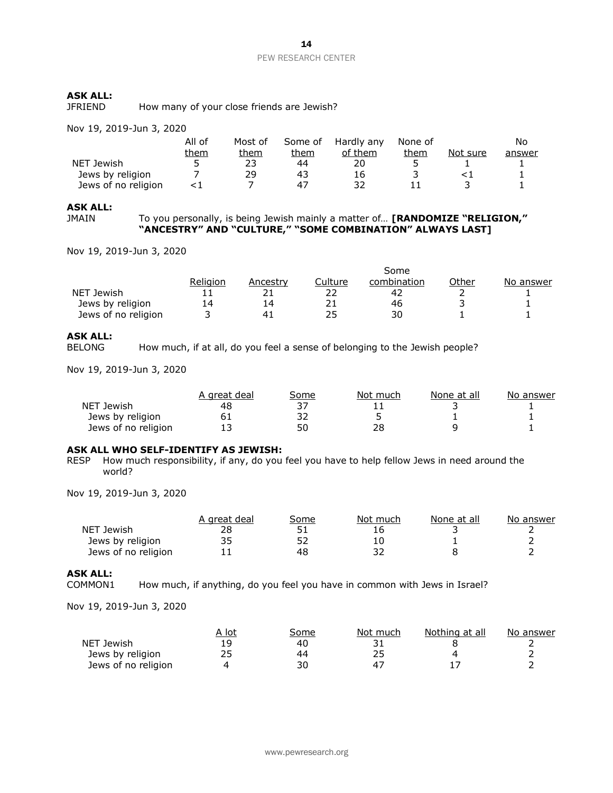JFRIEND How many of your close friends are Jewish?

Nov 19, 2019-Jun 3, 2020

|                     | All of      | Most of | Some of | Hardly any | None of |          | No     |
|---------------------|-------------|---------|---------|------------|---------|----------|--------|
|                     | <u>them</u> | them    | them    | of them    | them    | Not sure | answer |
| NET Jewish          | 5           | 23      | 44      | 20         |         |          |        |
| Jews by religion    |             | 29      | 43      | 16         |         |          |        |
| Jews of no religion |             |         | 47      |            |         |          |        |

#### **ASK ALL:**

JMAIN To you personally, is being Jewish mainly a matter of… **[RANDOMIZE "RELIGION," "ANCESTRY" AND "CULTURE," "SOME COMBINATION" ALWAYS LAST]**

Nov 19, 2019-Jun 3, 2020

|                     |          |                |         | Some        |       |           |
|---------------------|----------|----------------|---------|-------------|-------|-----------|
|                     | Religion | Ancestrv       | Culture | combination | Other | No answer |
| NET Jewish          |          |                |         | 42          |       |           |
| Jews by religion    | 14       | 14             |         | 46          |       |           |
| Jews of no religion |          | 4 <sup>1</sup> | 25      | 30          |       |           |

# **ASK ALL:**

How much, if at all, do you feel a sense of belonging to the Jewish people?

Nov 19, 2019-Jun 3, 2020

|                     | A areat deal | Some | Not much | None at all | No answer |
|---------------------|--------------|------|----------|-------------|-----------|
| NET Jewish          | 48           |      |          |             |           |
| Jews by religion    |              | רר   |          |             |           |
| Jews of no religion |              | 50   | 28       |             |           |

### **ASK ALL WHO SELF-IDENTIFY AS JEWISH:**

RESP How much responsibility, if any, do you feel you have to help fellow Jews in need around the world?

Nov 19, 2019-Jun 3, 2020

|                     | A areat deal | Some | Not much | None at all | No answer |
|---------------------|--------------|------|----------|-------------|-----------|
| NET Jewish          | 28           |      | 16       |             |           |
| Jews by religion    | 35           |      |          |             |           |
| Jews of no religion |              | 48   |          |             |           |

### **ASK ALL:**

COMMON1 How much, if anything, do you feel you have in common with Jews in Israel?

|                     | A lot | Some | Not much | Nothing at all | No answer |
|---------------------|-------|------|----------|----------------|-----------|
| NET Jewish          |       | 40   |          |                |           |
| Jews by religion    | ∠こ    | 44   |          |                |           |
| Jews of no religion |       | 30   |          |                |           |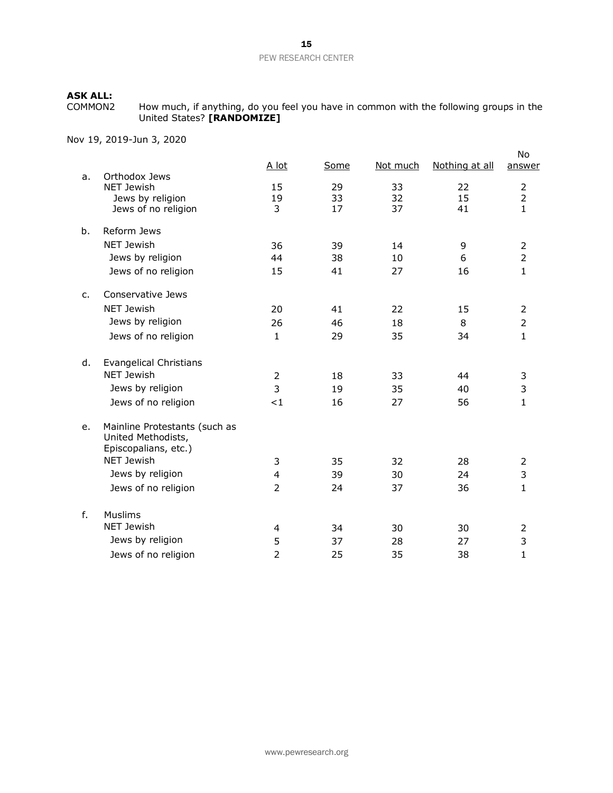COMMON2 How much, if anything, do you feel you have in common with the following groups in the United States? **[RANDOMIZE]**

|         |                                                                             | A lot          | Some | Not much | Nothing at all | No<br>answer                          |
|---------|-----------------------------------------------------------------------------|----------------|------|----------|----------------|---------------------------------------|
| a.      | Orthodox Jews<br><b>NET Jewish</b>                                          | 15             | 29   | 33       | 22             |                                       |
|         | Jews by religion                                                            | 19             | 33   | 32       | 15             | $\begin{array}{c} 2 \\ 2 \end{array}$ |
|         | Jews of no religion                                                         | 3              | 17   | 37       | 41             | $\mathbf{1}$                          |
| b.      | Reform Jews                                                                 |                |      |          |                |                                       |
|         | <b>NET Jewish</b>                                                           | 36             | 39   | 14       | 9              | $\overline{2}$                        |
|         | Jews by religion                                                            | 44             | 38   | 10       | 6              | $\overline{2}$                        |
|         | Jews of no religion                                                         | 15             | 41   | 27       | 16             | $\mathbf{1}$                          |
| $C_{1}$ | Conservative Jews                                                           |                |      |          |                |                                       |
|         | <b>NET Jewish</b>                                                           | 20             | 41   | 22       | 15             | 2                                     |
|         | Jews by religion                                                            | 26             | 46   | 18       | 8              | $\overline{2}$                        |
|         | Jews of no religion                                                         | 1              | 29   | 35       | 34             | $\mathbf{1}$                          |
| d.      | <b>Evangelical Christians</b>                                               |                |      |          |                |                                       |
|         | <b>NET Jewish</b>                                                           | $\overline{2}$ | 18   | 33       | 44             | 3                                     |
|         | Jews by religion                                                            | 3              | 19   | 35       | 40             | 3                                     |
|         | Jews of no religion                                                         | <1             | 16   | 27       | 56             | $\mathbf{1}$                          |
| e.      | Mainline Protestants (such as<br>United Methodists,<br>Episcopalians, etc.) |                |      |          |                |                                       |
|         | <b>NET Jewish</b>                                                           | 3              | 35   | 32       | 28             | $\overline{2}$                        |
|         | Jews by religion                                                            | $\overline{4}$ | 39   | 30       | 24             | 3                                     |
|         | Jews of no religion                                                         | $\overline{2}$ | 24   | 37       | 36             | $\mathbf{1}$                          |
| f.      | <b>Muslims</b>                                                              |                |      |          |                |                                       |
|         | <b>NET Jewish</b>                                                           | 4              | 34   | 30       | 30             | 2                                     |
|         | Jews by religion                                                            | 5              | 37   | 28       | 27             | 3                                     |
|         | Jews of no religion                                                         | $\overline{2}$ | 25   | 35       | 38             | 1                                     |
|         |                                                                             |                |      |          |                |                                       |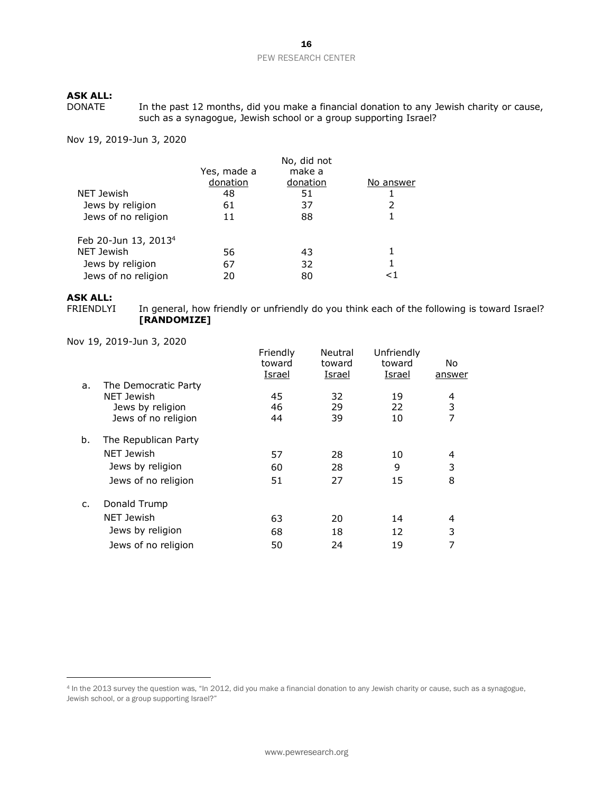In the past 12 months, did you make a financial donation to any Jewish charity or cause, such as a synagogue, Jewish school or a group supporting Israel?

Nov 19, 2019-Jun 3, 2020

|                                  |             | No, did not |           |
|----------------------------------|-------------|-------------|-----------|
|                                  | Yes, made a | make a      |           |
|                                  | donation    | donation    | No answer |
| NET Jewish                       | 48          | 51          |           |
| Jews by religion                 | 61          | 37          | 2         |
| Jews of no religion              | 11          | 88          |           |
| Feb 20-Jun 13, 2013 <sup>4</sup> |             |             |           |
| NET Jewish                       | 56          | 43          |           |
| Jews by religion                 | 67          | 32          |           |
| Jews of no religion              | 20          | 80          | <1        |

# **ASK ALL:**

In general, how friendly or unfriendly do you think each of the following is toward Israel? **[RANDOMIZE]** 

|                      | Friendly<br>toward | Neutral<br>toward<br>Israel | Unfriendly<br>toward<br>Israel | No.<br>answer |
|----------------------|--------------------|-----------------------------|--------------------------------|---------------|
| The Democratic Party |                    |                             |                                |               |
| NET Jewish           | 45                 | 32                          | 19                             | 4             |
| Jews by religion     | 46                 | 29                          | 22                             | 3             |
| Jews of no religion  | 44                 | 39                          | 10                             | 7             |
| The Republican Party |                    |                             |                                |               |
| NET Jewish           | 57                 | 28                          | 10                             | 4             |
| Jews by religion     | 60                 | 28                          | 9                              | 3             |
| Jews of no religion  | 51                 | 27                          | 15                             | 8             |
| Donald Trump         |                    |                             |                                |               |
| NET Jewish           | 63                 | 20                          | 14                             | 4             |
| Jews by religion     | 68                 | 18                          | 12                             | 3             |
| Jews of no religion  | 50                 | 24                          | 19                             | 7             |
|                      |                    | <u>Israel</u>               |                                |               |

<sup>4</sup> In the 2013 survey the question was, "In 2012, did you make a financial donation to any Jewish charity or cause, such as a synagogue, Jewish school, or a group supporting Israel?"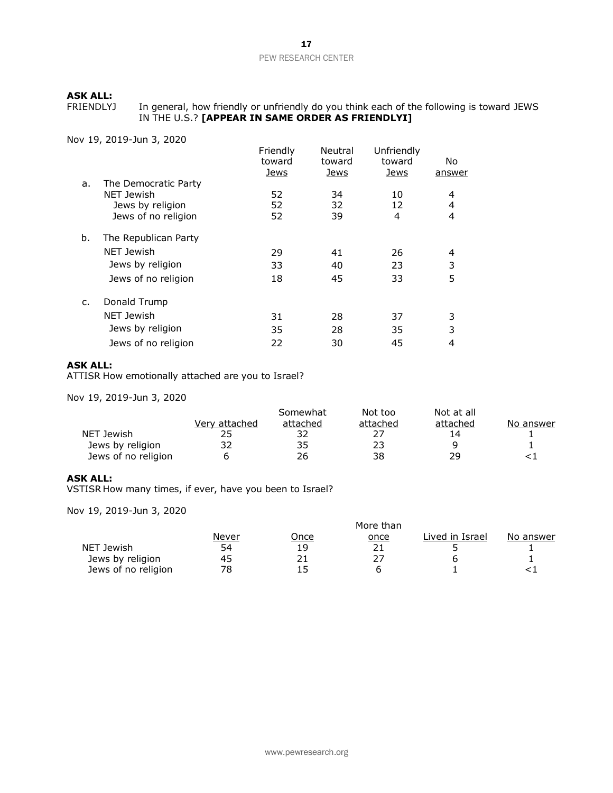FRIENDLYJ In general, how friendly or unfriendly do you think each of the following is toward JEWS IN THE U.S.? **[APPEAR IN SAME ORDER AS FRIENDLYI]**

Nov 19, 2019-Jun 3, 2020

|    |                      | Friendly<br>toward<br><u>Jews</u> | Neutral<br>toward<br><u>Jews</u> | Unfriendly<br>toward<br><u>Jews</u> | No.<br><u>answer</u> |
|----|----------------------|-----------------------------------|----------------------------------|-------------------------------------|----------------------|
| a. | The Democratic Party |                                   |                                  |                                     |                      |
|    | <b>NET Jewish</b>    | 52                                | 34                               | 10                                  | 4                    |
|    | Jews by religion     | 52                                | 32                               | 12                                  | 4                    |
|    | Jews of no religion  | 52                                | 39                               | 4                                   | 4                    |
| b. | The Republican Party |                                   |                                  |                                     |                      |
|    | <b>NET Jewish</b>    | 29                                | 41                               | 26                                  | 4                    |
|    | Jews by religion     | 33                                | 40                               | 23                                  | 3                    |
|    | Jews of no religion  | 18                                | 45                               | 33                                  | 5                    |
| c. | Donald Trump         |                                   |                                  |                                     |                      |
|    | <b>NET Jewish</b>    | 31                                | 28                               | 37                                  | 3                    |
|    | Jews by religion     | 35                                | 28                               | 35                                  | 3                    |
|    | Jews of no religion  | 22                                | 30                               | 45                                  | 4                    |

### **ASK ALL:**

ATTISR How emotionally attached are you to Israel?

Nov 19, 2019-Jun 3, 2020

|                     |               | Somewhat | Not too  | Not at all |           |
|---------------------|---------------|----------|----------|------------|-----------|
|                     | Verv attached | attached | attached | attached   | No answer |
| NET Jewish          |               | つつ       |          | 14         |           |
| Jews by religion    | 32            | 35       | 23       |            |           |
| Jews of no religion |               | 26       | 38       | つロ         |           |

### **ASK ALL:**

VSTISR How many times, if ever, have you been to Israel?

|                     | More than |             |             |                 |           |  |  |  |
|---------------------|-----------|-------------|-------------|-----------------|-----------|--|--|--|
|                     | Never     | <u>Once</u> | <u>once</u> | Lived in Israel | No answer |  |  |  |
| NET Jewish          | 54        | 19          |             |                 |           |  |  |  |
| Jews by religion    | 45        |             |             |                 |           |  |  |  |
| Jews of no religion | 78        |             |             |                 |           |  |  |  |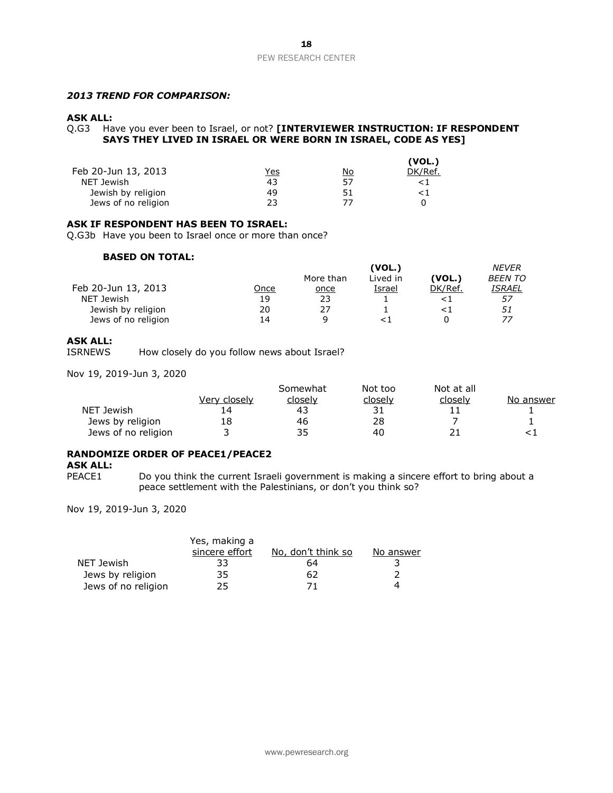### *2013 TREND FOR COMPARISON:*

### **ASK ALL:**

Q.G3 Have you ever been to Israel, or not? **[INTERVIEWER INSTRUCTION: IF RESPONDENT SAYS THEY LIVED IN ISRAEL OR WERE BORN IN ISRAEL, CODE AS YES]** 

|                     |            |           | (VOL.)  |
|---------------------|------------|-----------|---------|
| Feb 20-Jun 13, 2013 | <u>Yes</u> | <u>No</u> | DK/Ref. |
| NET Jewish          | 43         | 57        |         |
| Jewish by religion  | 49         | 51        |         |
| Jews of no religion | 23         | 77        |         |

#### **ASK IF RESPONDENT HAS BEEN TO ISRAEL:**

Q.G3b Have you been to Israel once or more than once?

### **BASED ON TOTAL:**

|                     |      | (VOL.)    |          |         | NEVER          |
|---------------------|------|-----------|----------|---------|----------------|
|                     |      | More than | Lived in | (VOL.)  | <b>BEEN TO</b> |
| Feb 20-Jun 13, 2013 | Once | once      | Israel   | DK/Ref. | ISRAEL         |
| NET Jewish          | 19   | 23        |          |         | 57             |
| Jewish by religion  | 20   | 27        |          |         | 51             |
| Jews of no religion | 14   | a         |          |         | 77             |

### **ASK ALL:**

ISRNEWS How closely do you follow news about Israel?

Nov 19, 2019-Jun 3, 2020

|                     |              | Somewhat | Not too | Not at all |           |
|---------------------|--------------|----------|---------|------------|-----------|
|                     | Very closely | closelv  | closely | closely    | No answer |
| NET Jewish          |              | 43       | 31      |            |           |
| Jews by religion    | 18           | 46       | 28      |            |           |
| Jews of no religion |              | 35       | 40      |            |           |

### **RANDOMIZE ORDER OF PEACE1/PEACE2**

### **ASK ALL:**

PEACE1 Do you think the current Israeli government is making a sincere effort to bring about a peace settlement with the Palestinians, or don't you think so?

|                     | Yes, making a  |                    |           |
|---------------------|----------------|--------------------|-----------|
|                     | sincere effort | No, don't think so | No answer |
| NET Jewish          | 33             | 64                 |           |
| Jews by religion    | 35             | 62                 |           |
| Jews of no religion | 25             | 71                 | 4         |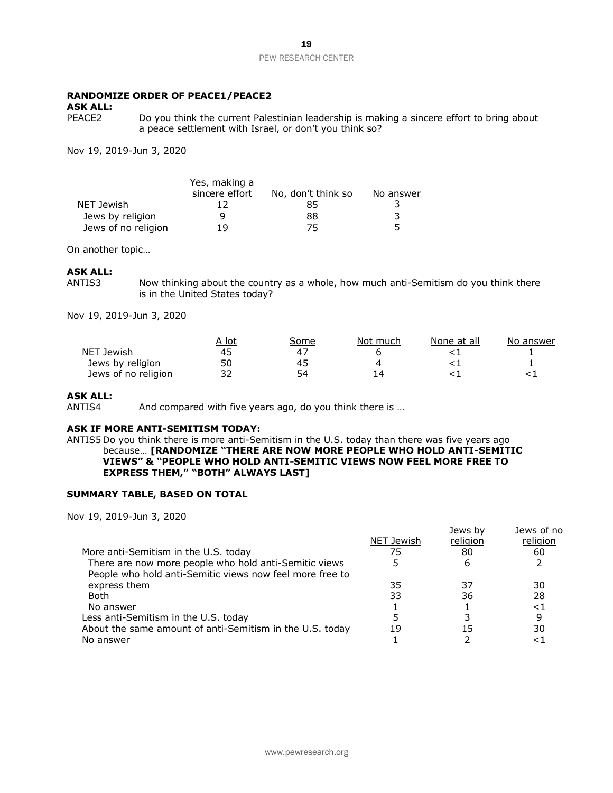### **RANDOMIZE ORDER OF PEACE1/PEACE2**

# **ASK ALL:**

Do you think the current Palestinian leadership is making a sincere effort to bring about a peace settlement with Israel, or don't you think so?

Nov 19, 2019-Jun 3, 2020

|                     | Yes, making a  |                    |           |
|---------------------|----------------|--------------------|-----------|
|                     | sincere effort | No, don't think so | No answer |
| NET Jewish          |                | 85                 |           |
| Jews by religion    | q              | 88                 |           |
| Jews of no religion | 19             | 75                 |           |

On another topic…

### **ASK ALL:**

ANTIS3 Now thinking about the country as a whole, how much anti-Semitism do you think there is in the United States today?

Nov 19, 2019-Jun 3, 2020

|                     | A lot | Some | Not much | None at all | No answer |
|---------------------|-------|------|----------|-------------|-----------|
| NET Jewish          | 45    | 4    |          |             |           |
| Jews by religion    | 50    | 45   |          |             |           |
| Jews of no religion | າາ    | 54   |          |             |           |

#### **ASK ALL:**

ANTIS4 And compared with five years ago, do you think there is ...

### **ASK IF MORE ANTI-SEMITISM TODAY:**

ANTIS5 Do you think there is more anti-Semitism in the U.S. today than there was five years ago because… **[RANDOMIZE "THERE ARE NOW MORE PEOPLE WHO HOLD ANTI-SEMITIC VIEWS" & "PEOPLE WHO HOLD ANTI-SEMITIC VIEWS NOW FEEL MORE FREE TO EXPRESS THEM," "BOTH" ALWAYS LAST]**

### **SUMMARY TABLE, BASED ON TOTAL**

Nov 19, 2019-Jun 3, 2020

|                                                          |            | Jews by  | Jews of no |
|----------------------------------------------------------|------------|----------|------------|
|                                                          | NET Jewish | religion | religion   |
| More anti-Semitism in the U.S. today                     | 75         | 80       | 60         |
| There are now more people who hold anti-Semitic views    |            | 6        |            |
| People who hold anti-Semitic views now feel more free to |            |          |            |
| express them                                             | 35         | 37       | 30         |
| Both                                                     | 33         | 36       | 28         |
| No answer                                                |            |          | <1         |
| Less anti-Semitism in the U.S. today                     |            |          | 9          |
| About the same amount of anti-Semitism in the U.S. today | 19         | 15       | 30         |
| No answer                                                |            |          |            |

Jews by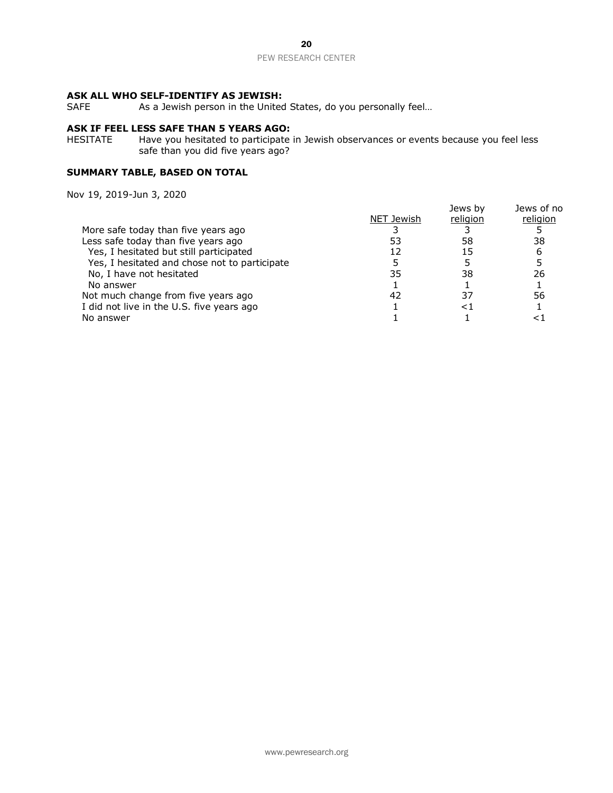### **ASK ALL WHO SELF-IDENTIFY AS JEWISH:**

SAFE As a Jewish person in the United States, do you personally feel...

### **ASK IF FEEL LESS SAFE THAN 5 YEARS AGO:**

HESITATE Have you hesitated to participate in Jewish observances or events because you feel less safe than you did five years ago?

### **SUMMARY TABLE, BASED ON TOTAL**

|                                               |            | Jews by  | Jews of no |
|-----------------------------------------------|------------|----------|------------|
|                                               | NET Jewish | religion | religion   |
| More safe today than five years ago           |            |          |            |
| Less safe today than five years ago           | 53         | 58       | 38         |
| Yes, I hesitated but still participated       | 12         | 15       | 6          |
| Yes, I hesitated and chose not to participate |            |          |            |
| No, I have not hesitated                      | 35         | 38       | 26         |
| No answer                                     |            |          |            |
| Not much change from five years ago           | 42         | 37       | 56         |
| I did not live in the U.S. five years ago     |            | <1       |            |
| No answer                                     |            |          |            |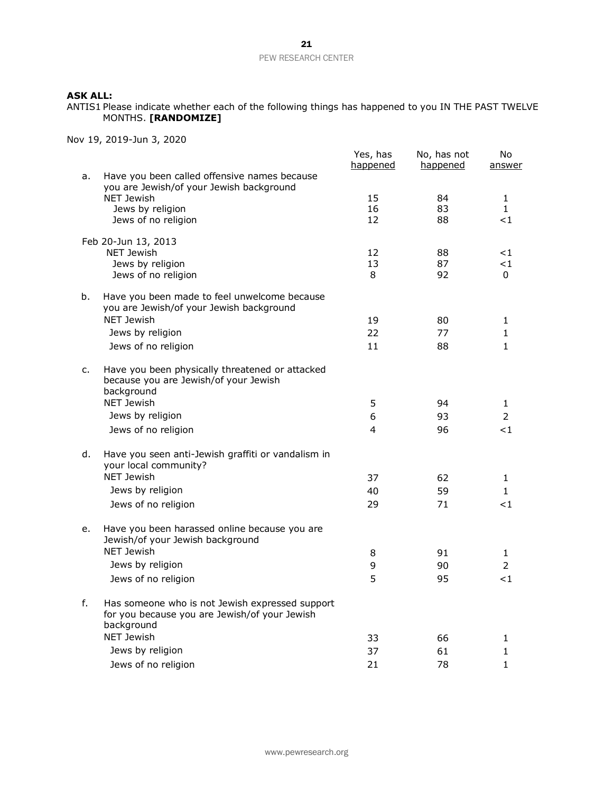ANTIS1 Please indicate whether each of the following things has happened to you IN THE PAST TWELVE MONTHS. **[RANDOMIZE]**

|    |                                                                                                                | Yes, has<br><u>happened</u> | No, has not<br><u>happened</u> | No<br><u>answer</u> |
|----|----------------------------------------------------------------------------------------------------------------|-----------------------------|--------------------------------|---------------------|
| a. | Have you been called offensive names because                                                                   |                             |                                |                     |
|    | you are Jewish/of your Jewish background<br><b>NET Jewish</b>                                                  | 15                          | 84                             | $\mathbf{1}$        |
|    | Jews by religion                                                                                               | 16                          | 83                             | $\mathbf{1}$        |
|    | Jews of no religion                                                                                            | 12                          | 88                             | ${<}1$              |
|    | Feb 20-Jun 13, 2013                                                                                            |                             |                                |                     |
|    | <b>NET Jewish</b>                                                                                              | 12                          | 88                             | ${<}1$              |
|    | Jews by religion<br>Jews of no religion                                                                        | 13<br>8                     | 87<br>92                       | ${<}1$<br>0         |
|    |                                                                                                                |                             |                                |                     |
| b. | Have you been made to feel unwelcome because<br>you are Jewish/of your Jewish background                       |                             |                                |                     |
|    | <b>NET Jewish</b>                                                                                              | 19                          | 80                             | 1                   |
|    | Jews by religion                                                                                               | 22                          | 77                             | 1                   |
|    | Jews of no religion                                                                                            | 11                          | 88                             | 1                   |
| c. | Have you been physically threatened or attacked<br>because you are Jewish/of your Jewish                       |                             |                                |                     |
|    | background<br><b>NET Jewish</b>                                                                                | 5                           | 94                             | 1                   |
|    | Jews by religion                                                                                               | 6                           | 93                             | 2                   |
|    | Jews of no religion                                                                                            | 4                           | 96                             | ${<}1$              |
|    |                                                                                                                |                             |                                |                     |
| d. | Have you seen anti-Jewish graffiti or vandalism in<br>your local community?                                    |                             |                                |                     |
|    | NET Jewish                                                                                                     | 37                          | 62                             | 1                   |
|    | Jews by religion                                                                                               | 40                          | 59                             | $\mathbf{1}$        |
|    | Jews of no religion                                                                                            | 29                          | 71                             | $<$ 1               |
| e. | Have you been harassed online because you are<br>Jewish/of your Jewish background                              |                             |                                |                     |
|    | NET Jewish                                                                                                     | 8                           | 91                             | 1                   |
|    | Jews by religion                                                                                               | 9                           | 90                             | 2                   |
|    | Jews of no religion                                                                                            | 5                           | 95                             | ${<}1$              |
| f. | Has someone who is not Jewish expressed support<br>for you because you are Jewish/of your Jewish<br>background |                             |                                |                     |
|    | <b>NET Jewish</b>                                                                                              | 33                          | 66                             | 1                   |
|    | Jews by religion                                                                                               | 37                          | 61                             | 1                   |
|    | Jews of no religion                                                                                            | 21                          | 78                             | 1                   |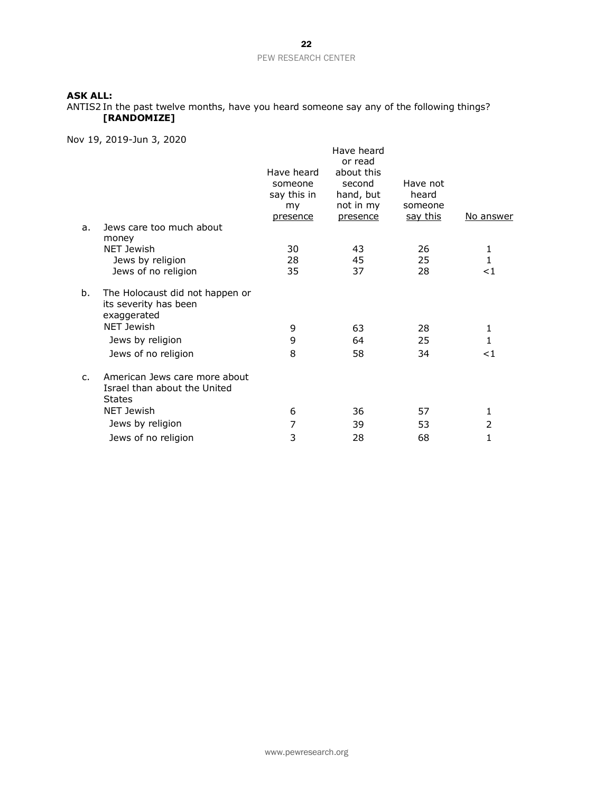ANTIS2 In the past twelve months, have you heard someone say any of the following things? **[RANDOMIZE]**

|                | טאטא, נווטנ-כבטא, נבר אי                                                       |                                                        |                                                                                     |                                                 |                |
|----------------|--------------------------------------------------------------------------------|--------------------------------------------------------|-------------------------------------------------------------------------------------|-------------------------------------------------|----------------|
| a.             | Jews care too much about                                                       | Have heard<br>someone<br>say this in<br>my<br>presence | Have heard<br>or read<br>about this<br>second<br>hand, but<br>not in my<br>presence | Have not<br>heard<br>someone<br><u>say this</u> | No answer      |
|                | money                                                                          |                                                        |                                                                                     |                                                 |                |
|                | NET Jewish                                                                     | 30<br>28                                               | 43                                                                                  | 26<br>25                                        | 1<br>1         |
|                | Jews by religion<br>Jews of no religion                                        | 35                                                     | 45<br>37                                                                            | 28                                              | $<$ 1          |
|                |                                                                                |                                                        |                                                                                     |                                                 |                |
| b.             | The Holocaust did not happen or<br>its severity has been<br>exaggerated        |                                                        |                                                                                     |                                                 |                |
|                | NET Jewish                                                                     | 9                                                      | 63                                                                                  | 28                                              | 1              |
|                | Jews by religion                                                               | 9                                                      | 64                                                                                  | 25                                              | 1              |
|                | Jews of no religion                                                            | 8                                                      | 58                                                                                  | 34                                              | ا>             |
| $\mathsf{C}$ . | American Jews care more about<br>Israel than about the United<br><b>States</b> |                                                        |                                                                                     |                                                 |                |
|                | NET Jewish                                                                     | 6                                                      | 36                                                                                  | 57                                              | 1              |
|                | Jews by religion                                                               | 7                                                      | 39                                                                                  | 53                                              | $\overline{2}$ |
|                | Jews of no religion                                                            | 3                                                      | 28                                                                                  | 68                                              | 1              |
|                |                                                                                |                                                        |                                                                                     |                                                 |                |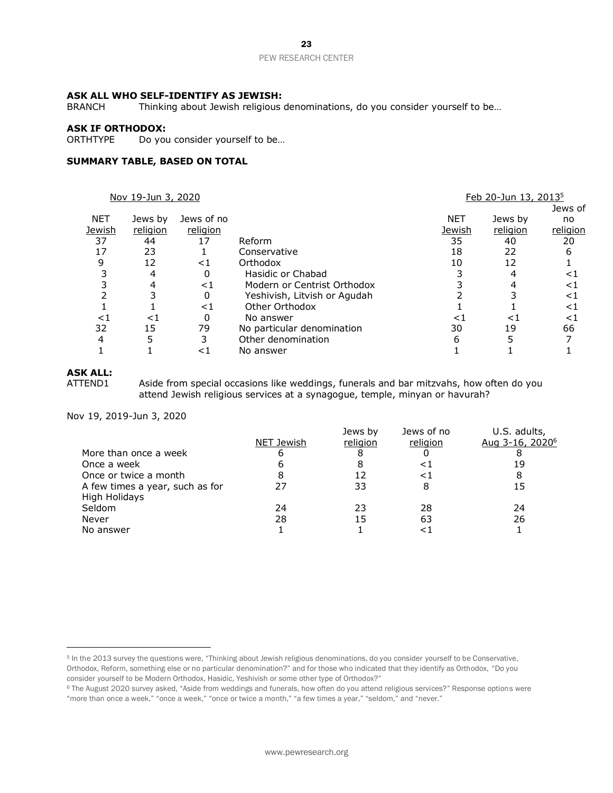### **ASK ALL WHO SELF-IDENTIFY AS JEWISH:**

BRANCH Thinking about Jewish religious denominations, do you consider yourself to be...

### **ASK IF ORTHODOX:**

ORTHTYPE Do you consider yourself to be…

### **SUMMARY TABLE, BASED ON TOTAL**

|            | Nov 19-Jun 3, 2020 |            |                              |        | Feb 20-Jun 13, 2013 <sup>5</sup> |          |
|------------|--------------------|------------|------------------------------|--------|----------------------------------|----------|
|            |                    |            |                              |        |                                  | Jews of  |
| <b>NET</b> | Jews by            | Jews of no |                              | NET    | Jews by                          | no       |
| Jewish     | religion           | religion   |                              | Jewish | religion                         | religion |
| 37         | 44                 | 17         | Reform                       | 35     | 40                               | 20       |
| 17         | 23                 |            | Conservative                 | 18     | 22                               | 6        |
| 9          | 12                 | ${<}1$     | Orthodox                     | 10     | 12                               |          |
|            | 4                  | 0          | Hasidic or Chabad            |        |                                  | ${<}1$   |
|            |                    | ${<}1$     | Modern or Centrist Orthodox  |        |                                  | ${<}1$   |
|            |                    | 0          | Yeshivish, Litvish or Agudah |        |                                  | ${<}1$   |
|            |                    | ${<}1$     | Other Orthodox               |        |                                  | ${<}1$   |
| ${<}1$     | ${<}1$             | 0          | No answer                    | < 1    | < ⊺                              | ${<}1$   |
| 32         | 15                 | 79         | No particular denomination   | 30     | 19                               | 66       |
| ⊿          |                    |            | Other denomination           | 6      |                                  |          |
|            |                    | < 1        | No answer                    |        |                                  |          |

### **ASK ALL:**

ATTEND1 Aside from special occasions like weddings, funerals and bar mitzvahs, how often do you attend Jewish religious services at a synagogue, temple, minyan or havurah?

|            | Jews by  | Jews of no | U.S. adults,                |
|------------|----------|------------|-----------------------------|
| NET Jewish | religion | religion   | Aug 3-16, 2020 <sup>6</sup> |
|            | Õ        |            |                             |
|            |          | < ।        | 19                          |
|            | 12       | $\leq$ 1   |                             |
|            | 33       | 8          | 15                          |
|            |          |            |                             |
| 24         | 23       | 28         | 24                          |
| 28         | 15       | 63         | 26                          |
|            |          |            |                             |
|            |          |            |                             |

<sup>&</sup>lt;sup>5</sup> In the 2013 survey the questions were, "Thinking about Jewish religious denominations, do you consider yourself to be Conservative, Orthodox, Reform, something else or no particular denomination?" and for those who indicated that they identify as Orthodox, "Do you

consider yourself to be Modern Orthodox, Hasidic, Yeshivish or some other type of Orthodox?"

<sup>6</sup> The August 2020 survey asked, "Aside from weddings and funerals, how often do you attend religious services?" Response options were "more than once a week," "once a week," "once or twice a month," "a few times a year," "seldom," and "never."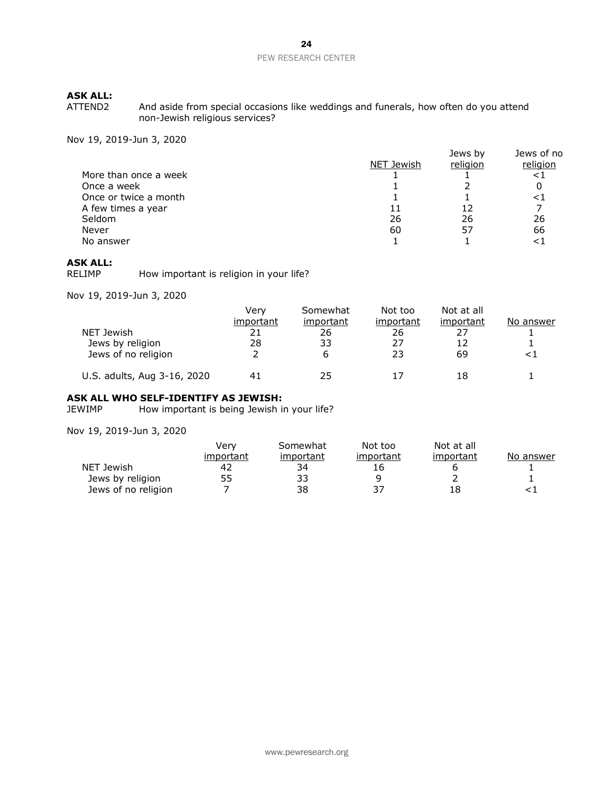And aside from special occasions like weddings and funerals, how often do you attend non-Jewish religious services?

Nov 19, 2019-Jun 3, 2020

|                       |            | Jews by  | Jews of no |
|-----------------------|------------|----------|------------|
|                       | NET Jewish | religion | religion   |
| More than once a week |            |          |            |
| Once a week           |            |          |            |
| Once or twice a month |            |          |            |
| A few times a year    | 11         | 12       |            |
| Seldom                | 26         | 26       | 26         |
| Never                 | 60         | 57       | 66         |
| No answer             |            |          |            |
|                       |            |          |            |

**ASK ALL:** How important is religion in your life?

Nov 19, 2019-Jun 3, 2020

|                             | Verv      | Somewhat  | Not too   | Not at all |                  |
|-----------------------------|-----------|-----------|-----------|------------|------------------|
|                             | important | important | important | important  | <u>No answer</u> |
| NET Jewish                  |           | 26        | 26        |            |                  |
| Jews by religion            | 28        | 33        | 27        | 12         |                  |
| Jews of no religion         |           | b         | 23        | 69         |                  |
| U.S. adults, Aug 3-16, 2020 |           | フら        |           | 18         |                  |

# **ASK ALL WHO SELF-IDENTIFY AS JEWISH:**<br>JEWIMP How important is being Jewish in

How important is being Jewish in your life?

|                     | Verv      | Somewhat  | Not too   | Not at all |           |
|---------------------|-----------|-----------|-----------|------------|-----------|
|                     | important | important | important | important  | No answer |
| NET Jewish          | 42        | 34        | 16        |            |           |
| Jews by religion    | 55        | 33        |           |            |           |
| Jews of no religion |           | 38        |           |            |           |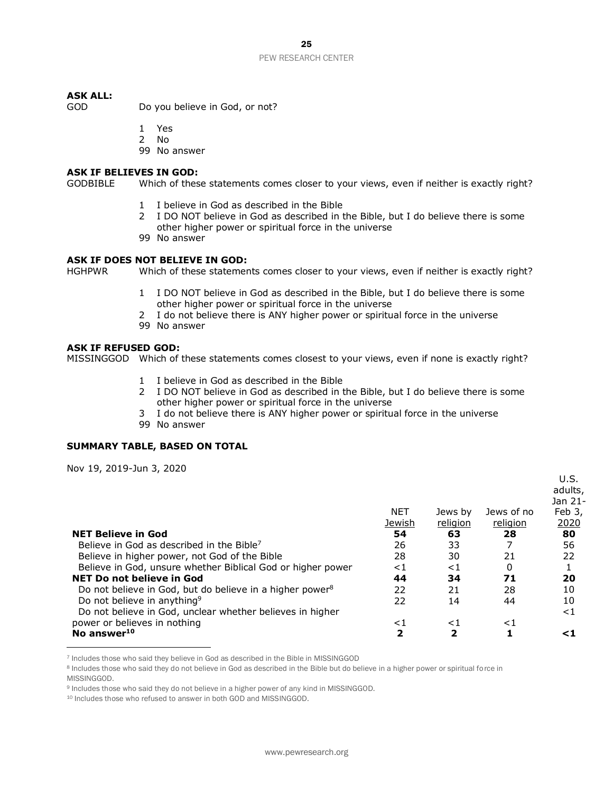GOD Do you believe in God, or not?

1 Yes

- 2 No
- 99 No answer

### **ASK IF BELIEVES IN GOD:**

GODBIBLE Which of these statements comes closer to your views, even if neither is exactly right?

- 1 I believe in God as described in the Bible
- 2 I DO NOT believe in God as described in the Bible, but I do believe there is some other higher power or spiritual force in the universe
- 99 No answer

### **ASK IF DOES NOT BELIEVE IN GOD:**

HGHPWR Which of these statements comes closer to your views, even if neither is exactly right?

- 1 I DO NOT believe in God as described in the Bible, but I do believe there is some other higher power or spiritual force in the universe
- 2 I do not believe there is ANY higher power or spiritual force in the universe
- 99 No answer

### **ASK IF REFUSED GOD:**

MISSINGGOD Which of these statements comes closest to your views, even if none is exactly right?

- 1 I believe in God as described in the Bible
- 2 I DO NOT believe in God as described in the Bible, but I do believe there is some other higher power or spiritual force in the universe
- 3 I do not believe there is ANY higher power or spiritual force in the universe
- 99 No answer

### **SUMMARY TABLE, BASED ON TOTAL**

|                                                                      |            |          |            | U.S.<br>adults, |
|----------------------------------------------------------------------|------------|----------|------------|-----------------|
|                                                                      |            |          |            | Jan 21-         |
|                                                                      | <b>NET</b> | Jews by  | Jews of no | Feb 3,          |
|                                                                      | Jewish     | religion | religion   | 2020            |
| <b>NET Believe in God</b>                                            | 54         | 63       | 28         | 80              |
| Believe in God as described in the Bible <sup>7</sup>                | 26         | 33       |            | 56              |
| Believe in higher power, not God of the Bible                        | 28         | 30       | 21         | 22              |
| Believe in God, unsure whether Biblical God or higher power          | ${<}1$     | ${<}1$   | 0          |                 |
| NET Do not believe in God                                            | 44         | 34       | 71         | 20              |
| Do not believe in God, but do believe in a higher power <sup>8</sup> | 22         | 21       | 28         | 10              |
| Do not believe in anything <sup>9</sup>                              | 22         | 14       | 44         | 10              |
| Do not believe in God, unclear whether believes in higher            |            |          |            | ${<}1$          |
| power or believes in nothing                                         | ${<}1$     | ${<}1$   | ${<}1$     |                 |
| No answer <sup>10</sup>                                              | 2          | 2        |            | ⊂1              |

<sup>7</sup> Includes those who said they believe in God as described in the Bible in MISSINGGOD

<sup>8</sup> Includes those who said they do not believe in God as described in the Bible but do believe in a higher power or spiritual force in MISSINGGOD.

<sup>9</sup> Includes those who said they do not believe in a higher power of any kind in MISSINGGOD.

<sup>10</sup> Includes those who refused to answer in both GOD and MISSINGGOD.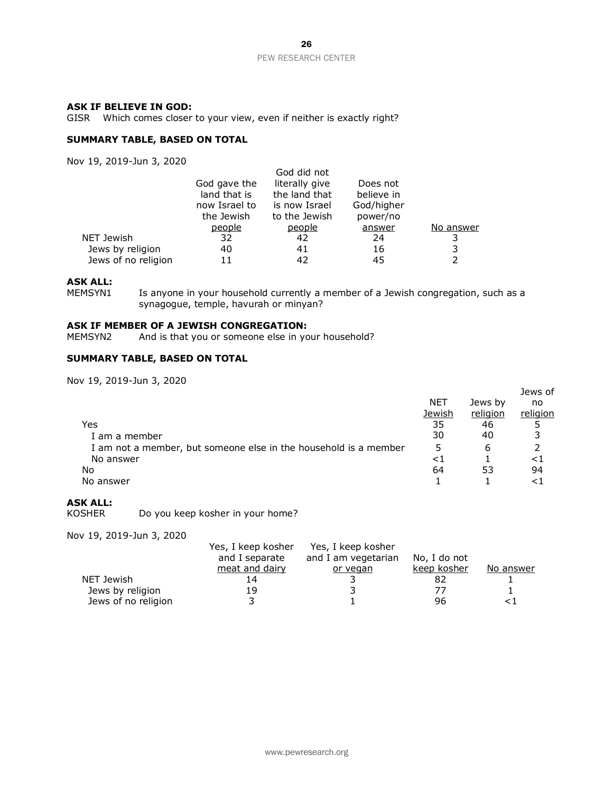### **ASK IF BELIEVE IN GOD:**

GISR Which comes closer to your view, even if neither is exactly right?

### **SUMMARY TABLE, BASED ON TOTAL**

Nov 19, 2019-Jun 3, 2020

|                     |               | God did not    |            |           |
|---------------------|---------------|----------------|------------|-----------|
|                     | God gave the  | literally give | Does not   |           |
|                     | land that is  | the land that  | believe in |           |
|                     | now Israel to | is now Israel  | God/higher |           |
|                     | the Jewish    | to the Jewish  | power/no   |           |
|                     | people        | people         | answer     | No answer |
| NET Jewish          | 32            | 42             | 24         |           |
| Jews by religion    | 40            | 41             | 16         |           |
| Jews of no religion | 11            |                | 45         |           |

### **ASK ALL:**

MEMSYN1 Is anyone in your household currently a member of a Jewish congregation, such as a synagogue, temple, havurah or minyan?

# **ASK IF MEMBER OF A JEWISH CONGREGATION:**<br>MEMSYN2 And is that you or someone else in yo

And is that you or someone else in your household?

### **SUMMARY TABLE, BASED ON TOTAL**

Nov 19, 2019-Jun 3, 2020

| Yes                                                                                            | NET<br>Jewish<br>35<br>30 | Jews by<br>religion<br>46<br>40 | Jews of<br>no<br>religion |
|------------------------------------------------------------------------------------------------|---------------------------|---------------------------------|---------------------------|
| I am a member<br>I am not a member, but someone else in the household is a member<br>No answer | 5<br>${<}1$               | 6                               | ${<}1$                    |
| No<br>No answer                                                                                | 64                        | 53                              | 94<br>ا >                 |

# **ASK ALL:**

Do you keep kosher in your home?

| v 19, 2019-Juli 9, 2020 |                    |                     |              |           |
|-------------------------|--------------------|---------------------|--------------|-----------|
|                         | Yes, I keep kosher | Yes, I keep kosher  |              |           |
|                         | and I separate     | and I am vegetarian | No, I do not |           |
|                         | meat and dairy     | or vegan            | keep kosher  | No answer |
| NET Jewish              | 14                 |                     |              |           |
| Jews by religion        | 19                 |                     |              |           |
| Jews of no religion     |                    |                     | 96           |           |
|                         |                    |                     |              |           |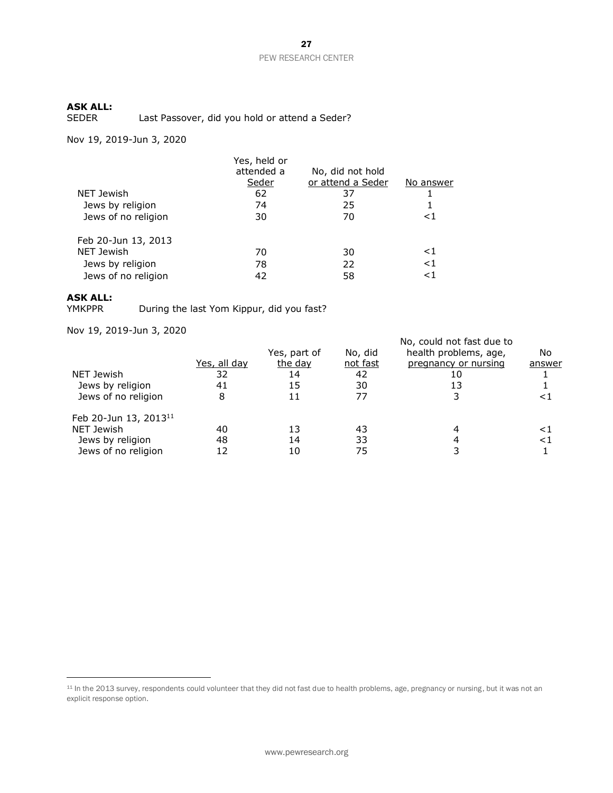Last Passover, did you hold or attend a Seder?

Nov 19, 2019-Jun 3, 2020

|                     | Yes, held or<br>attended a<br>Seder | No, did not hold<br>or attend a Seder | No answer |
|---------------------|-------------------------------------|---------------------------------------|-----------|
| NET Jewish          | 62                                  | 37                                    |           |
| Jews by religion    | 74                                  | 25                                    |           |
| Jews of no religion | 30                                  | 70                                    | ${<}1$    |
| Feb 20-Jun 13, 2013 |                                     |                                       |           |
| NET Jewish          | 70                                  | 30                                    | ${<}1$    |
| Jews by religion    | 78                                  | 22                                    | ${<}1$    |
| Jews of no religion | 42                                  | 58                                    | $<$ 1     |

# **ASK ALL:**

During the last Yom Kippur, did you fast?

|                                   |                     |              |          | No, could not fast due to |        |
|-----------------------------------|---------------------|--------------|----------|---------------------------|--------|
|                                   |                     | Yes, part of | No, did  | health problems, age,     | No     |
|                                   | <u>Yes, all day</u> | the day      | not fast | pregnancy or nursing      | answer |
| NET Jewish                        | 32                  | 14           | 42       | 10                        |        |
| Jews by religion                  | 41                  | 15           | 30       | 13                        |        |
| Jews of no religion               | 8                   | 11           | 77       |                           | <1     |
| Feb 20-Jun 13, 2013 <sup>11</sup> |                     |              |          |                           |        |
| NET Jewish                        | 40                  | 13           | 43       |                           | <⊺     |
| Jews by religion                  | 48                  | 14           | 33       |                           | ${<}1$ |
| Jews of no religion               | 12                  | 10           | 75       |                           |        |

<sup>&</sup>lt;sup>11</sup> In the 2013 survey, respondents could volunteer that they did not fast due to health problems, age, pregnancy or nursing, but it was not an explicit response option.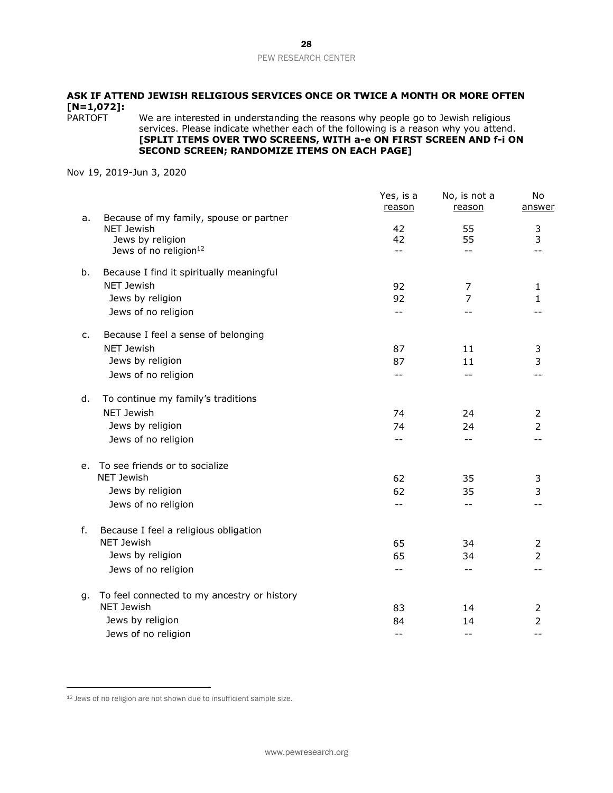# **ASK IF ATTEND JEWISH RELIGIOUS SERVICES ONCE OR TWICE A MONTH OR MORE OFTEN [N=1,072]:**

We are interested in understanding the reasons why people go to Jewish religious services. Please indicate whether each of the following is a reason why you attend. **[SPLIT ITEMS OVER TWO SCREENS, WITH a-e ON FIRST SCREEN AND f-i ON SECOND SCREEN; RANDOMIZE ITEMS ON EACH PAGE]**

|    |                                                            | Yes, is a<br>reason | No, is not a<br>reason   | No<br>answer   |
|----|------------------------------------------------------------|---------------------|--------------------------|----------------|
| a. | Because of my family, spouse or partner                    |                     |                          |                |
|    | NET Jewish<br>Jews by religion                             | 42<br>42            | 55<br>55                 | 3<br>3         |
|    | Jews of no religion <sup>12</sup>                          | $\perp$ $\perp$     | $-$                      |                |
|    |                                                            |                     |                          |                |
| b. | Because I find it spiritually meaningful                   |                     |                          |                |
|    | NET Jewish                                                 | 92                  | 7                        | $\mathbf{1}$   |
|    | Jews by religion                                           | 92                  | $\overline{7}$           | $\mathbf{1}$   |
|    | Jews of no religion                                        | $-$                 |                          |                |
| c. | Because I feel a sense of belonging                        |                     |                          |                |
|    | <b>NET Jewish</b>                                          | 87                  | 11                       | 3              |
|    | Jews by religion                                           | 87                  | 11                       | 3              |
|    | Jews of no religion                                        | $-$                 | $- -$                    |                |
| d. | To continue my family's traditions                         |                     |                          |                |
|    | <b>NET Jewish</b>                                          | 74                  | 24                       | $\overline{2}$ |
|    | Jews by religion                                           | 74                  | 24                       | $\overline{2}$ |
|    | Jews of no religion                                        | $-$                 | $- -$                    |                |
| е. | To see friends or to socialize                             |                     |                          |                |
|    | NET Jewish                                                 | 62                  | 35                       | 3              |
|    | Jews by religion                                           | 62                  | 35                       | 3              |
|    | Jews of no religion                                        | --                  | $- -$                    |                |
|    |                                                            |                     |                          |                |
| f. | Because I feel a religious obligation<br><b>NET Jewish</b> |                     |                          |                |
|    |                                                            | 65                  | 34                       | 2              |
|    | Jews by religion                                           | 65                  | 34                       | $\overline{2}$ |
|    | Jews of no religion                                        | --                  | $- -$                    |                |
| g. | To feel connected to my ancestry or history                |                     |                          |                |
|    | <b>NET Jewish</b>                                          | 83                  | 14                       | 2              |
|    | Jews by religion                                           | 84                  | 14                       | $\overline{2}$ |
|    | Jews of no religion                                        | $- -$               | $\overline{\phantom{m}}$ | $ -$           |

<sup>12</sup> Jews of no religion are not shown due to insufficient sample size.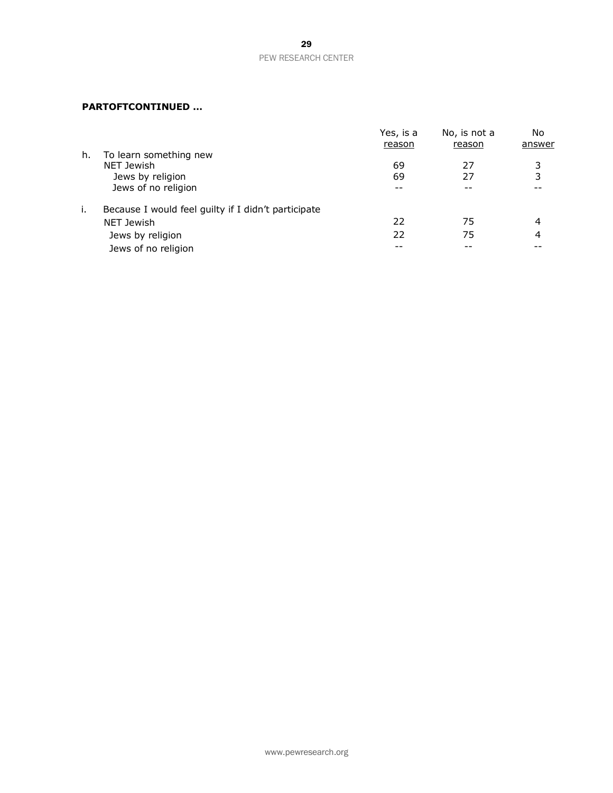# **PARTOFTCONTINUED …**

|    |                                                     | Yes, is a | No, is not a | No     |
|----|-----------------------------------------------------|-----------|--------------|--------|
|    |                                                     | reason    | reason       | answer |
| h. | To learn something new                              |           |              |        |
|    | <b>NET Jewish</b>                                   | 69        | 27           | 3      |
|    | Jews by religion                                    | 69        | 27           | 3      |
|    | Jews of no religion                                 |           |              |        |
| i. | Because I would feel guilty if I didn't participate |           |              |        |
|    | <b>NET Jewish</b>                                   | 22        | 75           | 4      |
|    | Jews by religion                                    | 22        | 75           | 4      |
|    | Jews of no religion                                 |           |              |        |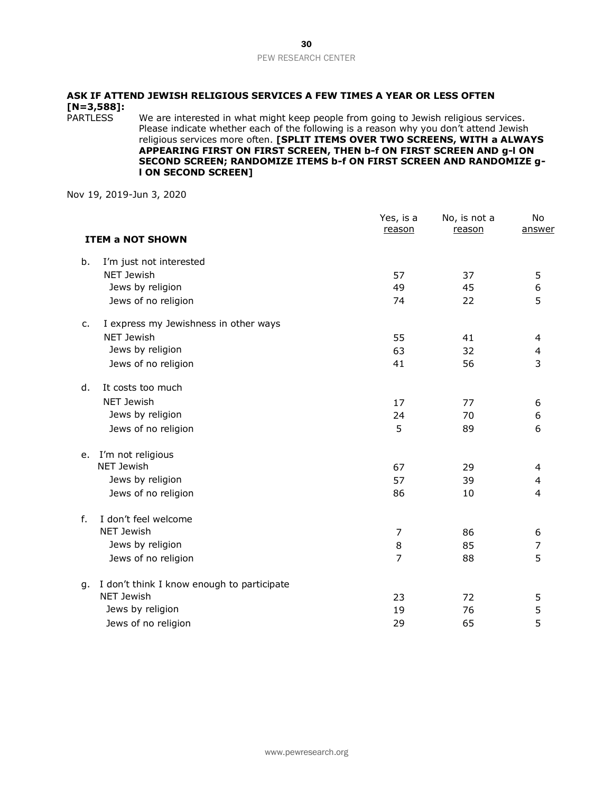# **ASK IF ATTEND JEWISH RELIGIOUS SERVICES A FEW TIMES A YEAR OR LESS OFTEN [N=3,588]:**

We are interested in what might keep people from going to Jewish religious services. Please indicate whether each of the following is a reason why you don't attend Jewish religious services more often. **[SPLIT ITEMS OVER TWO SCREENS, WITH a ALWAYS APPEARING FIRST ON FIRST SCREEN, THEN b-f ON FIRST SCREEN AND g-l ON SECOND SCREEN; RANDOMIZE ITEMS b-f ON FIRST SCREEN AND RANDOMIZE gl ON SECOND SCREEN]** 

|    |                                            | Yes, is a<br>reason | No, is not a<br>reason | No<br>answer   |
|----|--------------------------------------------|---------------------|------------------------|----------------|
|    | <b>ITEM a NOT SHOWN</b>                    |                     |                        |                |
| b. | I'm just not interested                    |                     |                        |                |
|    | <b>NET Jewish</b>                          | 57                  | 37                     | 5              |
|    | Jews by religion                           | 49                  | 45                     | 6              |
|    | Jews of no religion                        | 74                  | 22                     | 5              |
| c. | I express my Jewishness in other ways      |                     |                        |                |
|    | <b>NET Jewish</b>                          | 55                  | 41                     | 4              |
|    | Jews by religion                           | 63                  | 32                     | 4              |
|    | Jews of no religion                        | 41                  | 56                     | 3              |
| d. | It costs too much                          |                     |                        |                |
|    | <b>NET Jewish</b>                          | 17                  | 77                     | 6              |
|    | Jews by religion                           | 24                  | 70                     | 6              |
|    | Jews of no religion                        | 5                   | 89                     | 6              |
| е. | I'm not religious                          |                     |                        |                |
|    | <b>NET Jewish</b>                          | 67                  | 29                     | 4              |
|    | Jews by religion                           | 57                  | 39                     | 4              |
|    | Jews of no religion                        | 86                  | 10                     | 4              |
| f. | I don't feel welcome                       |                     |                        |                |
|    | NET Jewish                                 | 7                   | 86                     | 6              |
|    | Jews by religion                           | 8                   | 85                     | $\overline{7}$ |
|    | Jews of no religion                        | $\overline{7}$      | 88                     | 5              |
| g. | I don't think I know enough to participate |                     |                        |                |
|    | <b>NET Jewish</b>                          | 23                  | 72                     | 5              |
|    | Jews by religion                           | 19                  | 76                     | 5              |
|    | Jews of no religion                        | 29                  | 65                     | 5              |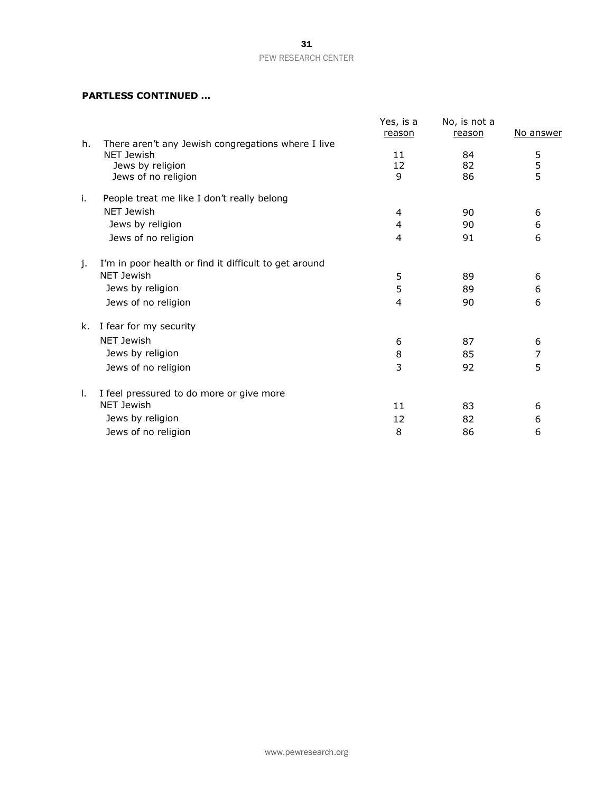### **PARTLESS CONTINUED …**

|    |                                                       | Yes, is a<br>reason | No, is not a<br>reason | No answer     |
|----|-------------------------------------------------------|---------------------|------------------------|---------------|
| h. | There aren't any Jewish congregations where I live    |                     |                        |               |
|    | <b>NET Jewish</b>                                     | 11                  | 84                     | 5             |
|    | Jews by religion                                      | 12                  | 82                     | $\frac{5}{5}$ |
|    | Jews of no religion                                   | 9                   | 86                     |               |
| i. | People treat me like I don't really belong            |                     |                        |               |
|    | NET Jewish                                            | 4                   | 90                     | 6             |
|    | Jews by religion                                      | 4                   | 90                     | 6             |
|    | Jews of no religion                                   | 4                   | 91                     | 6             |
| j. | I'm in poor health or find it difficult to get around |                     |                        |               |
|    | <b>NET Jewish</b>                                     | 5                   | 89                     | 6             |
|    | Jews by religion                                      | 5                   | 89                     | 6             |
|    | Jews of no religion                                   | $\overline{4}$      | 90                     | 6             |
| k. | I fear for my security                                |                     |                        |               |
|    | <b>NET Jewish</b>                                     | 6                   | 87                     | 6             |
|    | Jews by religion                                      | 8                   | 85                     | 7             |
|    | Jews of no religion                                   | 3                   | 92                     | 5             |
| Ι. | I feel pressured to do more or give more              |                     |                        |               |
|    | <b>NET Jewish</b>                                     | 11                  | 83                     | 6             |
|    | Jews by religion                                      | 12                  | 82                     | 6             |
|    |                                                       | 8                   |                        |               |
|    | Jews of no religion                                   |                     | 86                     | 6             |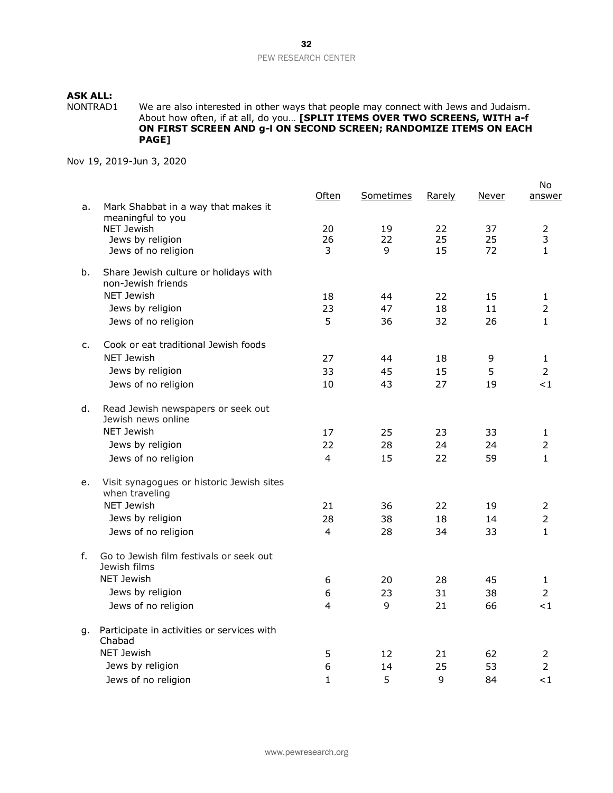NONTRAD1 We are also interested in other ways that people may connect with Jews and Judaism. About how often, if at all, do you… **[SPLIT ITEMS OVER TWO SCREENS, WITH a-f ON FIRST SCREEN AND g-l ON SECOND SCREEN; RANDOMIZE ITEMS ON EACH PAGE]**

|    |                                                             | Often          | Sometimes | <u>Rarely</u> | Never | No<br>answer   |
|----|-------------------------------------------------------------|----------------|-----------|---------------|-------|----------------|
| a. | Mark Shabbat in a way that makes it                         |                |           |               |       |                |
|    | meaningful to you<br><b>NET Jewish</b>                      | 20             | 19        | 22            | 37    | $\overline{2}$ |
|    | Jews by religion                                            | 26             | 22        | 25            | 25    | 3              |
|    | Jews of no religion                                         | 3              | 9         | 15            | 72    | $\mathbf{1}$   |
| b. | Share Jewish culture or holidays with                       |                |           |               |       |                |
|    | non-Jewish friends                                          |                |           |               |       |                |
|    | <b>NET Jewish</b>                                           | 18             | 44        | 22            | 15    | 1              |
|    | Jews by religion                                            | 23             | 47        | 18            | 11    | $\overline{2}$ |
|    | Jews of no religion                                         | 5              | 36        | 32            | 26    | 1              |
| c. | Cook or eat traditional Jewish foods                        |                |           |               |       |                |
|    | <b>NET Jewish</b>                                           | 27             | 44        | 18            | 9     | 1              |
|    | Jews by religion                                            | 33             | 45        | 15            | 5     | $\overline{2}$ |
|    | Jews of no religion                                         | 10             | 43        | 27            | 19    | ${<}1$         |
| d. | Read Jewish newspapers or seek out                          |                |           |               |       |                |
|    | Jewish news online                                          |                |           |               |       |                |
|    | <b>NET Jewish</b>                                           | 17             | 25        | 23            | 33    | 1              |
|    | Jews by religion                                            | 22             | 28        | 24            | 24    | $\overline{2}$ |
|    | Jews of no religion                                         | 4              | 15        | 22            | 59    | $\mathbf{1}$   |
| e. | Visit synagogues or historic Jewish sites<br>when traveling |                |           |               |       |                |
|    | <b>NET Jewish</b>                                           | 21             | 36        | 22            | 19    | $\overline{2}$ |
|    | Jews by religion                                            | 28             | 38        | 18            | 14    | $\overline{2}$ |
|    | Jews of no religion                                         | 4              | 28        | 34            | 33    | $\mathbf{1}$   |
| f. | Go to Jewish film festivals or seek out                     |                |           |               |       |                |
|    | Jewish films                                                |                |           |               |       |                |
|    | NET Jewish                                                  | 6              | 20        | 28            | 45    | 1              |
|    | Jews by religion                                            | 6              | 23        | 31            | 38    | $\overline{2}$ |
|    | Jews of no religion                                         | $\overline{4}$ | 9         | 21            | 66    | $<$ 1          |
| g. | Participate in activities or services with<br>Chabad        |                |           |               |       |                |
|    | <b>NET Jewish</b>                                           | 5              | 12        | 21            | 62    | 2              |
|    | Jews by religion                                            | 6              | 14        | 25            | 53    | $\overline{2}$ |
|    | Jews of no religion                                         | $\mathbf{1}$   | 5         | 9             | 84    | $<$ 1          |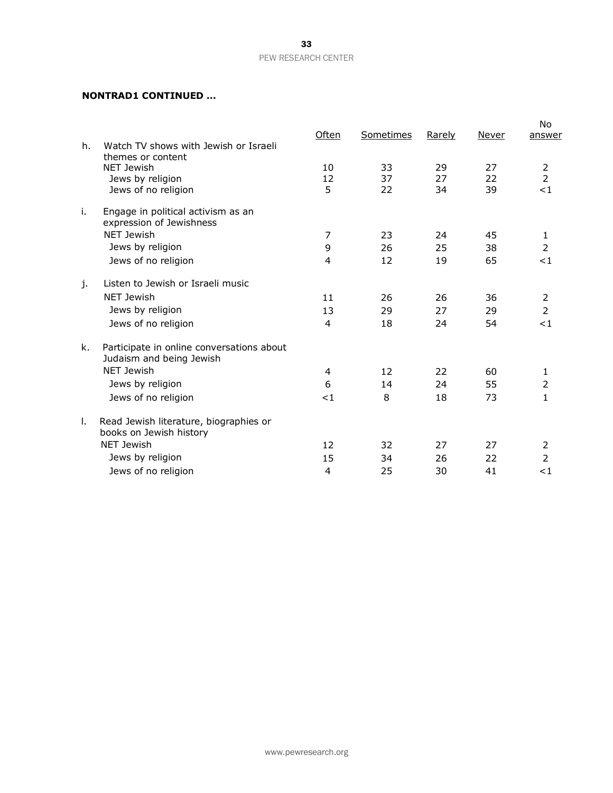### **NONTRAD1 CONTINUED …**

|    |                                                                       | Often | Sometimes | <u>Rarely</u> | Never | No.<br>answer  |
|----|-----------------------------------------------------------------------|-------|-----------|---------------|-------|----------------|
| h. | Watch TV shows with Jewish or Israeli                                 |       |           |               |       |                |
|    | themes or content<br>NET Jewish                                       | 10    | 33        | 29            | 27    | 2              |
|    | Jews by religion                                                      | 12    | 37        | 27            | 22    | $\overline{2}$ |
|    | Jews of no religion                                                   | 5     | 22        | 34            | 39    | <1             |
| j. | Engage in political activism as an<br>expression of Jewishness        |       |           |               |       |                |
|    | <b>NET Jewish</b>                                                     | 7     | 23        | 24            | 45    | 1              |
|    | Jews by religion                                                      | 9     | 26        | 25            | 38    | $\overline{2}$ |
|    | Jews of no religion                                                   | 4     | 12        | 19            | 65    | <1             |
| j. | Listen to Jewish or Israeli music                                     |       |           |               |       |                |
|    | <b>NET Jewish</b>                                                     | 11    | 26        | 26            | 36    | 2              |
|    | Jews by religion                                                      | 13    | 29        | 27            | 29    | $\overline{2}$ |
|    | Jews of no religion                                                   | 4     | 18        | 24            | 54    | <1             |
| k. | Participate in online conversations about<br>Judaism and being Jewish |       |           |               |       |                |
|    | NET Jewish                                                            | 4     | 12        | 22            | 60    | 1              |
|    | Jews by religion                                                      | 6     | 14        | 24            | 55    | $\overline{2}$ |
|    | Jews of no religion                                                   | <1    | 8         | 18            | 73    | $\mathbf{1}$   |
| Τ. | Read Jewish literature, biographies or<br>books on Jewish history     |       |           |               |       |                |
|    | <b>NET Jewish</b>                                                     | 12    | 32        | 27            | 27    | $\overline{2}$ |
|    | Jews by religion                                                      | 15    | 34        | 26            | 22    | $\overline{2}$ |
|    | Jews of no religion                                                   | 4     | 25        | 30            | 41    | $<$ 1          |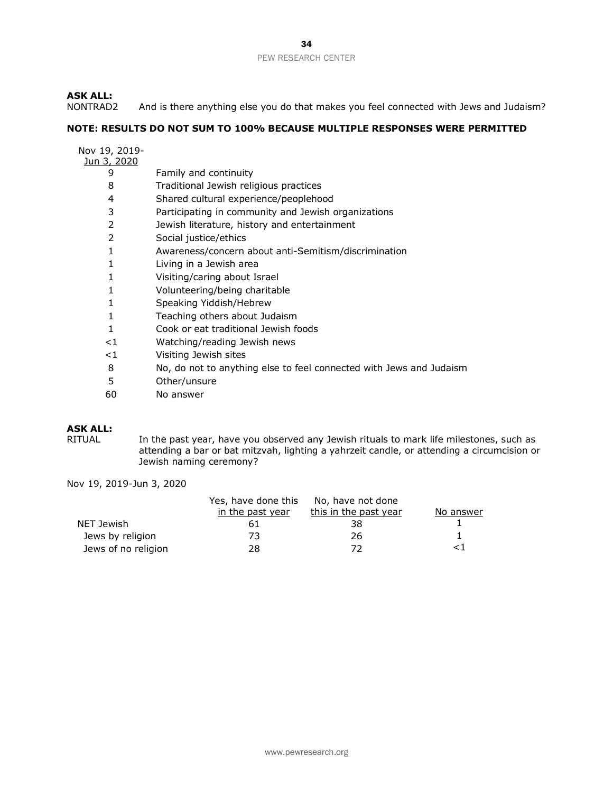# **ASK ALL:**

And is there anything else you do that makes you feel connected with Jews and Judaism?

### **NOTE: RESULTS DO NOT SUM TO 100% BECAUSE MULTIPLE RESPONSES WERE PERMITTED**

|  | Nov 19, 2019- |
|--|---------------|
|  |               |

# Jun 3, 2020

| J, ZUZU |                                                      |
|---------|------------------------------------------------------|
| 9       | Family and continuity                                |
| 8       | Traditional Jewish religious practices               |
| 4       | Shared cultural experience/peoplehood                |
| 3       | Participating in community and Jewish organizations  |
| 2       | Jewish literature, history and entertainment         |
| 2       | Social justice/ethics                                |
| 1       | Awareness/concern about anti-Semitism/discrimination |
| 1       | Living in a Jewish area                              |
| 1       | Visiting/caring about Israel                         |
| 1       | Volunteering/being charitable                        |
|         | Speaking Yiddish/Hebrew                              |
| 1       | Teaching others about Judaism                        |
|         | Cook or eat traditional Jewish foods                 |
|         |                                                      |

- <1 Watching/reading Jewish news
- <1 Visiting Jewish sites
- 8 No, do not to anything else to feel connected with Jews and Judaism
- 5 Other/unsure
- 60 No answer

### **ASK ALL:**

RITUAL In the past year, have you observed any Jewish rituals to mark life milestones, such as attending a bar or bat mitzvah, lighting a yahrzeit candle, or attending a circumcision or Jewish naming ceremony?

|                     | Yes, have done this | No, have not done     |           |
|---------------------|---------------------|-----------------------|-----------|
|                     | in the past year    | this in the past year | No answer |
| NET Jewish          | 61                  | 38                    |           |
| Jews by religion    | 73.                 | 26                    |           |
| Jews of no religion | 28                  | 77                    | ا >       |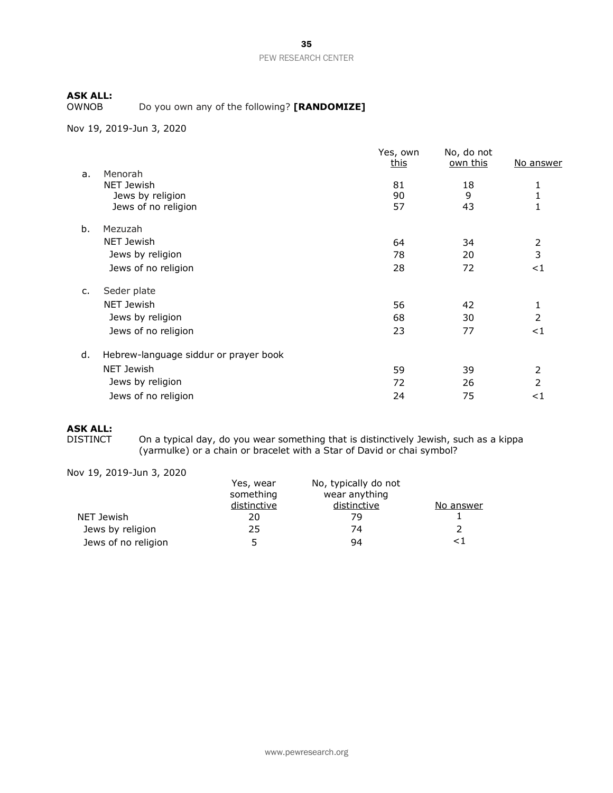Do you own any of the following? [RANDOMIZE]

Nov 19, 2019-Jun 3, 2020

|                |                                       | Yes, own<br>this | No, do not<br><u>own this</u> | No answer      |
|----------------|---------------------------------------|------------------|-------------------------------|----------------|
| a.             | Menorah                               |                  |                               |                |
|                | NET Jewish                            | 81               | 18                            | 1              |
|                | Jews by religion                      | 90               | 9                             | 1              |
|                | Jews of no religion                   | 57               | 43                            |                |
| b.             | Mezuzah                               |                  |                               |                |
|                | NET Jewish                            | 64               | 34                            | 2              |
|                | Jews by religion                      | 78               | 20                            | 3              |
|                | Jews of no religion                   | 28               | 72                            | $<$ 1          |
| $\mathsf{C}$ . | Seder plate                           |                  |                               |                |
|                | <b>NET Jewish</b>                     | 56               | 42                            | 1              |
|                | Jews by religion                      | 68               | 30                            | $\overline{2}$ |
|                | Jews of no religion                   | 23               | 77                            | $<$ 1          |
| d.             | Hebrew-language siddur or prayer book |                  |                               |                |
|                | NET Jewish                            | 59               | 39                            | 2              |
|                | Jews by religion                      | 72               | 26                            | 2              |
|                | Jews of no religion                   | 24               | 75                            | ${<}1$         |
|                |                                       |                  |                               |                |

### **ASK ALL:**

DISTINCT On a typical day, do you wear something that is distinctively Jewish, such as a kippa (yarmulke) or a chain or bracelet with a Star of David or chai symbol?

|                     | Yes, wear<br>something | No, typically do not<br>wear anything |           |
|---------------------|------------------------|---------------------------------------|-----------|
|                     | distinctive            | distinctive                           | No answer |
| NET Jewish          | 20                     | 79                                    |           |
| Jews by religion    | 25                     | 74                                    |           |
| Jews of no religion | ∽                      | 94                                    | ا>        |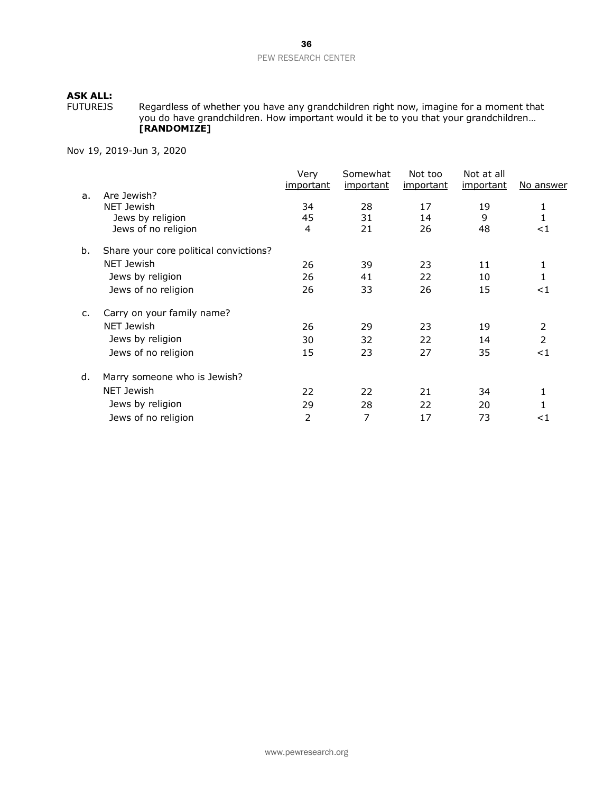FUTUREJS Regardless of whether you have any grandchildren right now, imagine for a moment that you do have grandchildren. How important would it be to you that your grandchildren… **[RANDOMIZE]**

|    |                                        | Very<br>important | Somewhat<br>important | Not too<br><u>important</u> | Not at all<br><i>important</i> | <u>No answer</u> |
|----|----------------------------------------|-------------------|-----------------------|-----------------------------|--------------------------------|------------------|
| a. | Are Jewish?                            |                   |                       |                             |                                |                  |
|    | <b>NET Jewish</b>                      | 34                | 28                    | 17                          | 19                             | 1                |
|    | Jews by religion                       | 45                | 31                    | 14                          | 9                              | $\mathbf{1}$     |
|    | Jews of no religion                    | 4                 | 21                    | 26                          | 48                             | ${<}1$           |
| b. | Share your core political convictions? |                   |                       |                             |                                |                  |
|    | <b>NET Jewish</b>                      | 26                | 39                    | 23                          | 11                             | 1                |
|    | Jews by religion                       | 26                | 41                    | 22                          | 10                             | 1                |
|    | Jews of no religion                    | 26                | 33                    | 26                          | 15                             | ${<}1$           |
| c. | Carry on your family name?             |                   |                       |                             |                                |                  |
|    | <b>NET Jewish</b>                      | 26                | 29                    | 23                          | 19                             | 2                |
|    | Jews by religion                       | 30                | 32                    | 22                          | 14                             | 2                |
|    | Jews of no religion                    | 15                | 23                    | 27                          | 35                             | $<$ 1            |
| d. | Marry someone who is Jewish?           |                   |                       |                             |                                |                  |
|    | <b>NET Jewish</b>                      | 22                | 22                    | 21                          | 34                             | 1                |
|    | Jews by religion                       | 29                | 28                    | 22                          | 20                             |                  |
|    | Jews of no religion                    | 2                 | 7                     | 17                          | 73                             | ${<}1$           |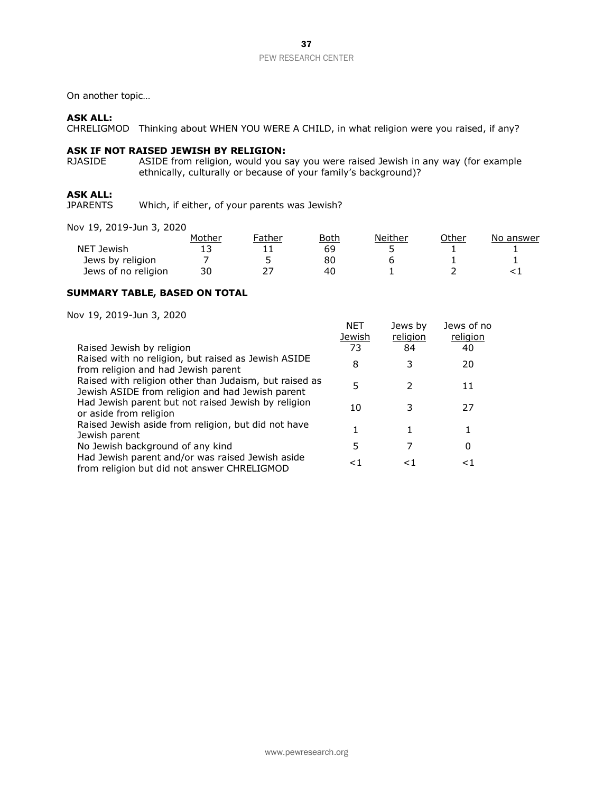On another topic…

### **ASK ALL:**

CHRELIGMOD Thinking about WHEN YOU WERE A CHILD, in what religion were you raised, if any?

### **ASK IF NOT RAISED JEWISH BY RELIGION:**

RJASIDE ASIDE from religion, would you say you were raised Jewish in any way (for example ethnically, culturally or because of your family's background)?

# **ASK ALL:**

Which, if either, of your parents was Jewish?

Nov 19, 2019-Jun 3, 2020

|                     | Mother | Father | Both | Neither | Other | No answer |
|---------------------|--------|--------|------|---------|-------|-----------|
| NET Jewish          |        |        | 69   |         |       |           |
| Jews by religion    |        |        | 80   |         |       |           |
| Jews of no religion | 30     |        | 40   |         |       |           |

### **SUMMARY TABLE, BASED ON TOTAL**

| Raised Jewish by religion                                                                                  | NET<br><u>Jewish</u><br>73 | Jews by<br>religion<br>84 | Jews of no<br>religion<br>40 |
|------------------------------------------------------------------------------------------------------------|----------------------------|---------------------------|------------------------------|
| Raised with no religion, but raised as Jewish ASIDE                                                        |                            |                           |                              |
| from religion and had Jewish parent                                                                        | 8                          |                           | 20                           |
| Raised with religion other than Judaism, but raised as<br>Jewish ASIDE from religion and had Jewish parent | 5                          |                           | 11                           |
| Had Jewish parent but not raised Jewish by religion<br>or aside from religion                              | 10                         |                           | 27                           |
| Raised Jewish aside from religion, but did not have<br>Jewish parent                                       |                            |                           |                              |
| No Jewish background of any kind                                                                           | 5                          |                           | 0                            |
| Had Jewish parent and/or was raised Jewish aside<br>from religion but did not answer CHRELIGMOD            | <1                         |                           | ا >                          |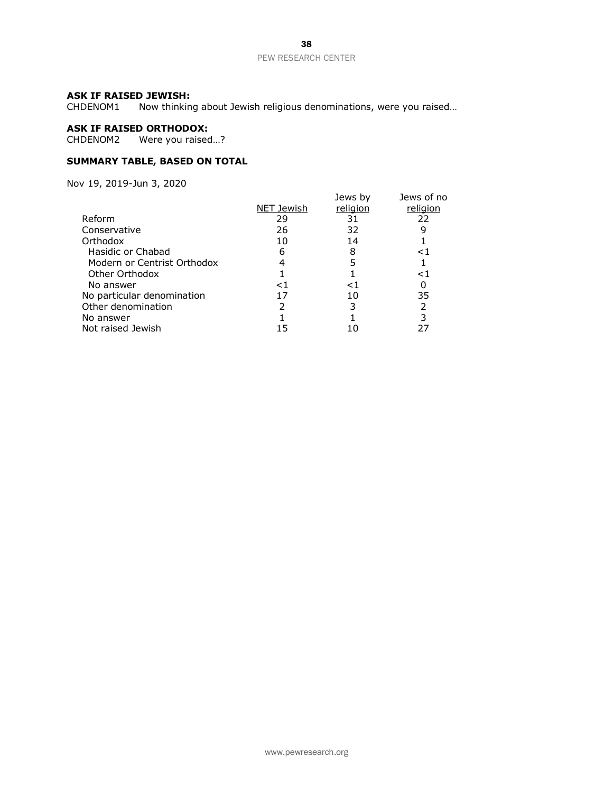### **ASK IF RAISED JEWISH:**

CHDENOM1 Now thinking about Jewish religious denominations, were you raised…

# **ASK IF RAISED ORTHODOX:**

CHDENOM2 Were you raised…?

### **SUMMARY TABLE, BASED ON TOTAL**

|                             |            | Jews by  | Jews of no |
|-----------------------------|------------|----------|------------|
|                             | NET Jewish | religion | religion   |
| Reform                      | 29         | 31       | 22         |
| Conservative                | 26         | 32       |            |
| Orthodox                    | 10         | 14       |            |
| Hasidic or Chabad           | 6          | 8        | <1         |
| Modern or Centrist Orthodox |            |          |            |
| Other Orthodox              |            |          | ${<}1$     |
| No answer                   | $\leq$ 1   | ≤1       |            |
| No particular denomination  | 17         | 10       | 35         |
| Other denomination          |            |          | 2          |
| No answer                   |            |          | 3          |
| Not raised Jewish           | 15         |          |            |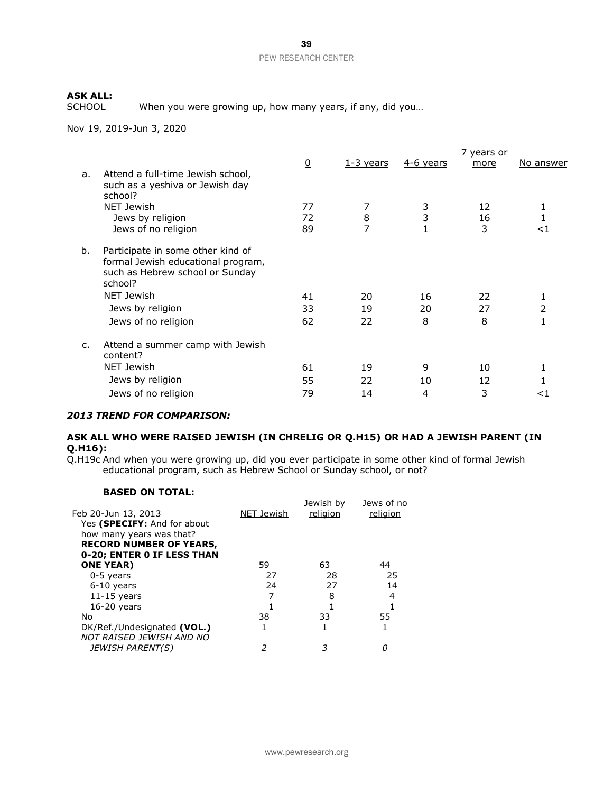When you were growing up, how many years, if any, did you...

Nov 19, 2019-Jun 3, 2020

|    |                                                                                                                       | $\overline{0}$ | <u>1-3 years</u> | $4-6$ years | 7 years or<br>more | No answer     |
|----|-----------------------------------------------------------------------------------------------------------------------|----------------|------------------|-------------|--------------------|---------------|
| a. | Attend a full-time Jewish school,<br>such as a yeshiva or Jewish day<br>school?                                       |                |                  |             |                    |               |
|    | NET Jewish                                                                                                            | 77             | 7                | 3           | 12                 | 1             |
|    | Jews by religion                                                                                                      | 72             | 8                | 3           | 16                 | 1             |
|    | Jews of no religion                                                                                                   | 89             | 7                |             | 3                  | ا>            |
| b. | Participate in some other kind of<br>formal Jewish educational program,<br>such as Hebrew school or Sunday<br>school? |                |                  |             |                    |               |
|    | NET Jewish                                                                                                            | 41             | 20               | 16          | 22                 | 1             |
|    | Jews by religion                                                                                                      | 33             | 19               | 20          | 27                 | $\mathcal{P}$ |
|    | Jews of no religion                                                                                                   | 62             | 22               | 8           | 8                  |               |
| c. | Attend a summer camp with Jewish<br>content?                                                                          |                |                  |             |                    |               |
|    | NET Jewish                                                                                                            | 61             | 19               | 9           | 10                 | 1             |
|    | Jews by religion                                                                                                      | 55             | 22               | 10          | 12                 |               |
|    | Jews of no religion                                                                                                   | 79             | 14               | 4           | 3                  | <1            |
|    |                                                                                                                       |                |                  |             |                    |               |

### *2013 TREND FOR COMPARISON:*

### **ASK ALL WHO WERE RAISED JEWISH (IN CHRELIG OR Q.H15) OR HAD A JEWISH PARENT (IN Q.H16):**

Q.H19c And when you were growing up, did you ever participate in some other kind of formal Jewish educational program, such as Hebrew School or Sunday school, or not?

### **BASED ON TOTAL:**

| Feb 20-Jun 13, 2013                                     | NET Jewish | Jewish by<br>religion | Jews of no<br>religion |
|---------------------------------------------------------|------------|-----------------------|------------------------|
| Yes (SPECIFY: And for about                             |            |                       |                        |
| how many years was that?                                |            |                       |                        |
| <b>RECORD NUMBER OF YEARS,</b>                          |            |                       |                        |
| 0-20; ENTER 0 IF LESS THAN                              |            |                       |                        |
| <b>ONE YEAR</b> )                                       | 59         | 63                    | 44                     |
| 0-5 years                                               | 27         | 28                    | 25                     |
| $6-10$ years                                            | 24         | 27                    | 14                     |
| $11-15$ years                                           |            | 8                     | 4                      |
| $16-20$ years                                           |            |                       |                        |
| No                                                      | 38         | 33                    | 55                     |
| DK/Ref./Undesignated (VOL.)<br>NOT RAISED JEWISH AND NO | 1          |                       |                        |
| <b>JEWISH PARENT(S)</b>                                 |            | 3                     |                        |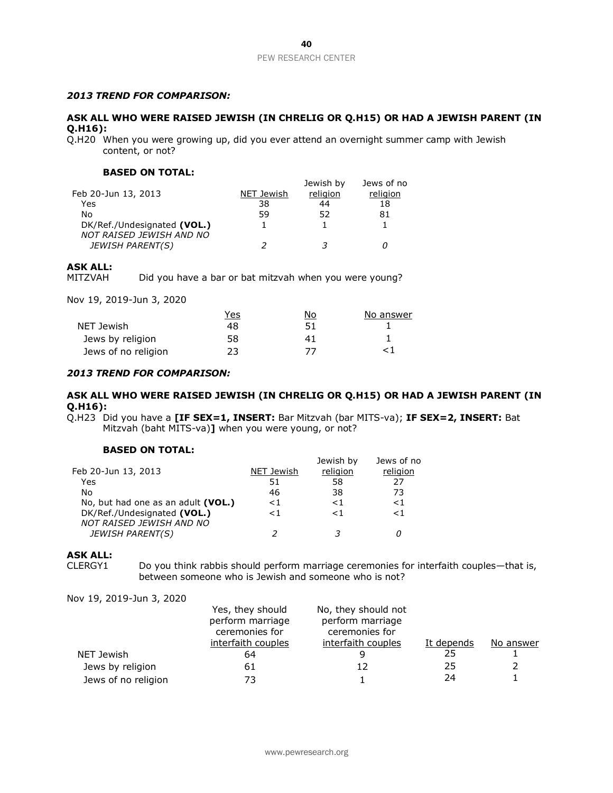### *2013 TREND FOR COMPARISON:*

### **ASK ALL WHO WERE RAISED JEWISH (IN CHRELIG OR Q.H15) OR HAD A JEWISH PARENT (IN Q.H16):**

Q.H20 When you were growing up, did you ever attend an overnight summer camp with Jewish content, or not?

### **BASED ON TOTAL:**

| Feb 20-Jun 13, 2013         | NET Jewish | Jewish by<br>religion | Jews of no<br>religion |
|-----------------------------|------------|-----------------------|------------------------|
| Yes                         | 38         | 44                    | 18                     |
| No                          | 59         | 52                    | 81                     |
| DK/Ref./Undesignated (VOL.) |            |                       |                        |
| NOT RAISED JEWISH AND NO    |            |                       |                        |
| <b>JEWISH PARENT(S)</b>     |            |                       |                        |

### **ASK ALL:**

MITZVAH Did you have a bar or bat mitzvah when you were young?

Nov 19, 2019-Jun 3, 2020

|                     | <u>Yes</u> | No | No answer |
|---------------------|------------|----|-----------|
| NET Jewish          | 48         | 51 |           |
| Jews by religion    | 58         |    |           |
| Jews of no religion | つろ         | 77 |           |

#### *2013 TREND FOR COMPARISON:*

### **ASK ALL WHO WERE RAISED JEWISH (IN CHRELIG OR Q.H15) OR HAD A JEWISH PARENT (IN Q.H16):**

Q.H23 Did you have a **[IF SEX=1, INSERT:** Bar Mitzvah (bar MITS-va); **IF SEX=2, INSERT:** Bat Mitzvah (baht MITS-va)**]** when you were young, or not?

### **BASED ON TOTAL:**

|                                    |            | Jewish by | Jews of no |
|------------------------------------|------------|-----------|------------|
| Feb 20-Jun 13, 2013                | NET Jewish | religion  | religion   |
| Yes                                | 51         | 58        | 27         |
| No                                 | 46         | 38        | 73         |
| No, but had one as an adult (VOL.) | $<$ 1      | < 1       | < 1        |
| DK/Ref./Undesignated (VOL.)        | < 1        | $\leq 1$  | < 1        |
| NOT RAISED JEWISH AND NO           |            |           |            |
| <b>JEWISH PARENT(S)</b>            |            |           |            |
|                                    |            |           |            |

#### **ASK ALL:**

CLERGY1 Do you think rabbis should perform marriage ceremonies for interfaith couples—that is, between someone who is Jewish and someone who is not?

|                     | Yes, they should<br>perform marriage<br>ceremonies for | No, they should not<br>perform marriage<br>ceremonies for |            |           |
|---------------------|--------------------------------------------------------|-----------------------------------------------------------|------------|-----------|
|                     | interfaith couples                                     | interfaith couples                                        | It depends | No answer |
| NET Jewish          | 64                                                     |                                                           | 25         |           |
| Jews by religion    | 61                                                     | 12                                                        | 25         |           |
| Jews of no religion | 73                                                     |                                                           | 24         |           |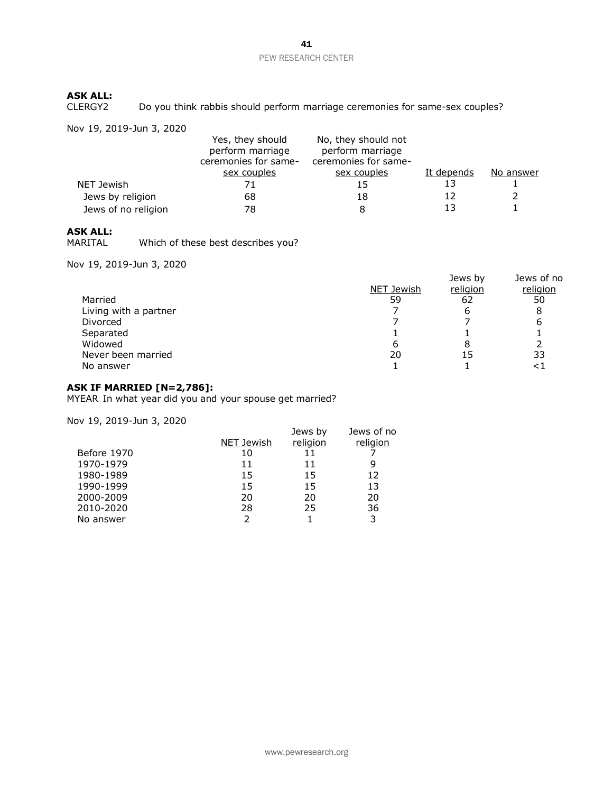# **ASK ALL:**

Do you think rabbis should perform marriage ceremonies for same-sex couples?

Nov 19, 2019-Jun 3, 2020

|                     | Yes, they should<br>perform marriage<br>ceremonies for same- | No, they should not<br>perform marriage<br>ceremonies for same- |            |           |
|---------------------|--------------------------------------------------------------|-----------------------------------------------------------------|------------|-----------|
|                     | sex couples                                                  | sex couples                                                     | It depends | No answer |
| NET Jewish          | 71                                                           | 15                                                              | 13         |           |
| Jews by religion    | 68                                                           | 18                                                              | 12         |           |
| Jews of no religion | 78                                                           | 8                                                               | 13         |           |

# **ASK ALL:**

Which of these best describes you?

Nov 19, 2019-Jun 3, 2020

|                       | NET Jewish | Jews by<br>religion | Jews of no<br>religion |
|-----------------------|------------|---------------------|------------------------|
| Married               | 59         | 62                  | 50                     |
| Living with a partner |            | ь                   | 8                      |
| Divorced              |            |                     | h                      |
| Separated             |            |                     |                        |
| Widowed               | b          |                     |                        |
| Never been married    | 20         | 15                  | 33                     |
| No answer             |            |                     |                        |

### **ASK IF MARRIED [N=2,786]:**

MYEAR In what year did you and your spouse get married?

|            | Jews by  | Jews of no |
|------------|----------|------------|
| NET Jewish | religion | religion   |
| 10         | 11       |            |
| 11         | 11       | 9          |
| 15         | 15       | 12         |
| 15         | 15       | 13         |
| 20         | 20       | 20         |
| 28         | 25       | 36         |
| っ          |          | 3          |
|            |          |            |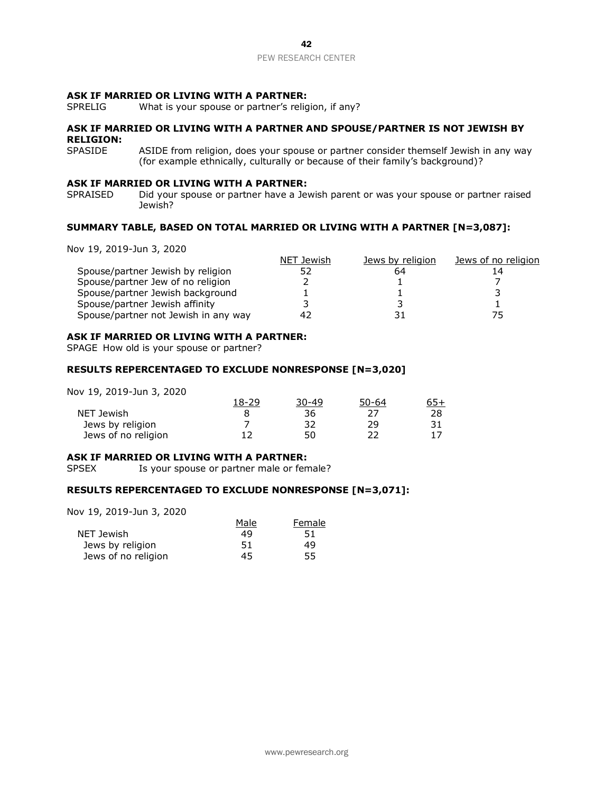#### **ASK IF MARRIED OR LIVING WITH A PARTNER:**

SPRELIG What is your spouse or partner's religion, if any?

### **ASK IF MARRIED OR LIVING WITH A PARTNER AND SPOUSE/PARTNER IS NOT JEWISH BY RELIGION:**

SPASIDE ASIDE from religion, does your spouse or partner consider themself Jewish in any way (for example ethnically, culturally or because of their family's background)?

### **ASK IF MARRIED OR LIVING WITH A PARTNER:**

SPRAISED Did your spouse or partner have a Jewish parent or was your spouse or partner raised Jewish?

### **SUMMARY TABLE, BASED ON TOTAL MARRIED OR LIVING WITH A PARTNER [N=3,087]:**

Nov 19, 2019-Jun 3, 2020

|                                      | NET Jewish | Jews by religion | <u>Jews of no religion</u> |
|--------------------------------------|------------|------------------|----------------------------|
| Spouse/partner Jewish by religion    |            | 64               |                            |
| Spouse/partner Jew of no religion    |            |                  |                            |
| Spouse/partner Jewish background     |            |                  |                            |
| Spouse/partner Jewish affinity       |            |                  |                            |
| Spouse/partner not Jewish in any way | 4          |                  |                            |

### **ASK IF MARRIED OR LIVING WITH A PARTNER:**

SPAGE How old is your spouse or partner?

### **RESULTS REPERCENTAGED TO EXCLUDE NONRESPONSE [N=3,020]**

Nov 19, 2019-Jun 3, 2020

|                     | 18-29 | $30 - 49$ | <u>50-64</u> | <u>65+</u> |
|---------------------|-------|-----------|--------------|------------|
| NET Jewish          |       | 36        |              | 28         |
| Jews by religion    |       | つつ        | 29           |            |
| Jews of no religion |       | 50        | רר           |            |

#### **ASK IF MARRIED OR LIVING WITH A PARTNER:**

SPSEX Is your spouse or partner male or female?

### **RESULTS REPERCENTAGED TO EXCLUDE NONRESPONSE [N=3,071]:**

|                     | Male | Female |
|---------------------|------|--------|
| NET Jewish          | 49   | 51     |
| Jews by religion    | 51   | 49     |
| Jews of no religion | 45   | 55     |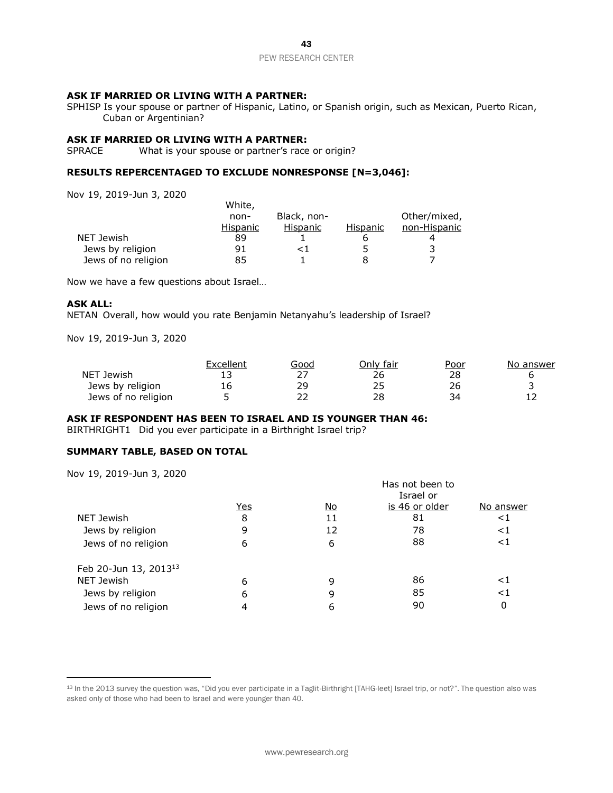### **ASK IF MARRIED OR LIVING WITH A PARTNER:**

SPHISP Is your spouse or partner of Hispanic, Latino, or Spanish origin, such as Mexican, Puerto Rican, Cuban or Argentinian?

### **ASK IF MARRIED OR LIVING WITH A PARTNER:**

SPRACE What is your spouse or partner's race or origin?

### **RESULTS REPERCENTAGED TO EXCLUDE NONRESPONSE [N=3,046]:**

Nov 19, 2019-Jun 3, 2020

|                     | White,   |             |          |              |
|---------------------|----------|-------------|----------|--------------|
|                     | non-     | Black, non- |          | Other/mixed, |
|                     | Hispanic | Hispanic    | Hispanic | non-Hispanic |
| NET Jewish          | 89       |             |          |              |
| Jews by religion    | 91       | < ⊺         |          |              |
| Jews of no religion | 85       |             | 8        |              |

Now we have a few questions about Israel…

### **ASK ALL:**

NETAN Overall, how would you rate Benjamin Netanyahu's leadership of Israel?

Nov 19, 2019-Jun 3, 2020

|                     | Excellent | Good | วnlv fair | Poor | No answer |
|---------------------|-----------|------|-----------|------|-----------|
| NET Jewish          |           | דר   | 26        | 28   |           |
| Jews by religion    | 16        | 29   |           | 26   |           |
| Jews of no religion |           | ר ר  | 28        |      | ∸∸        |

### **ASK IF RESPONDENT HAS BEEN TO ISRAEL AND IS YOUNGER THAN 46:**

BIRTHRIGHT1 Did you ever participate in a Birthright Israel trip?

### **SUMMARY TABLE, BASED ON TOTAL**

Nov 19, 2019-Jun 3, 2020

|                                   |            |           | Has not been to<br>Israel or |           |
|-----------------------------------|------------|-----------|------------------------------|-----------|
|                                   | <u>Yes</u> | <u>No</u> | is 46 or older               | No answer |
| NET Jewish                        | 8          | 11        | 81                           | ${<}1$    |
| Jews by religion                  | 9          | 12        | 78                           | ${<}1$    |
| Jews of no religion               | 6          | 6         | 88                           | ${<}1$    |
| Feb 20-Jun 13, 2013 <sup>13</sup> |            |           |                              |           |
| NET Jewish                        | 6          | 9         | 86                           | ${<}1$    |
| Jews by religion                  | 6          | 9         | 85                           | ${<}1$    |
| Jews of no religion               | 4          | 6         | 90                           | 0         |

13 In the 2013 survey the question was, "Did you ever participate in a Taglit-Birthright [TAHG-leet] Israel trip, or not?". The question also was asked only of those who had been to Israel and were younger than 40.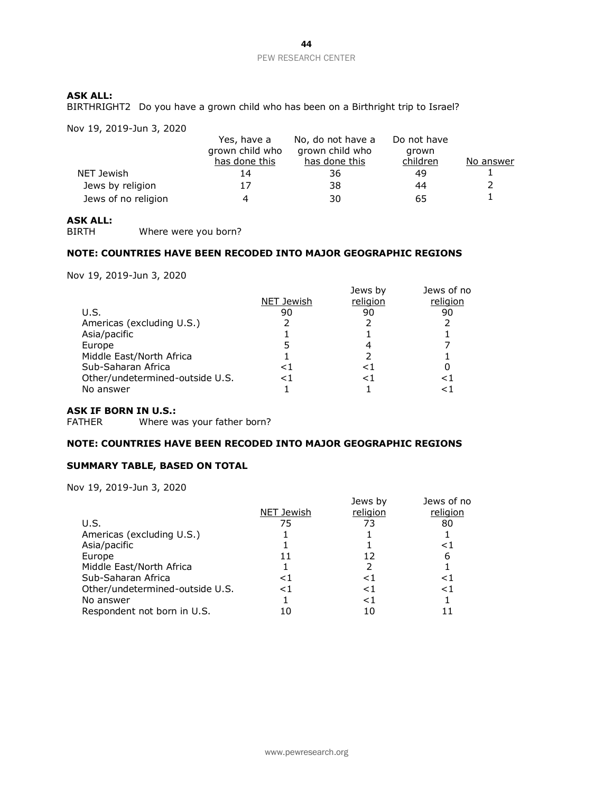### **ASK ALL:**

BIRTHRIGHT2 Do you have a grown child who has been on a Birthright trip to Israel?

Nov 19, 2019-Jun 3, 2020

|                     | Yes, have a<br>grown child who | No, do not have a<br>grown child who | Do not have<br>grown |           |
|---------------------|--------------------------------|--------------------------------------|----------------------|-----------|
|                     | has done this                  | has done this                        | children             | No answer |
| NET Jewish          | 14                             | 36                                   | 49                   |           |
| Jews by religion    | 17                             | -38                                  | 44                   |           |
| Jews of no religion |                                | 30                                   | 65                   |           |

# **ASK ALL:**

Where were you born?

### **NOTE: COUNTRIES HAVE BEEN RECODED INTO MAJOR GEOGRAPHIC REGIONS**

Nov 19, 2019-Jun 3, 2020

|                                 |            | Jews by  | Jews of no |
|---------------------------------|------------|----------|------------|
|                                 | NET Jewish | religion | religion   |
| U.S.                            | 90         | 90       | 90         |
| Americas (excluding U.S.)       |            |          |            |
| Asia/pacific                    |            |          |            |
| Europe                          |            |          |            |
| Middle East/North Africa        |            |          |            |
| Sub-Saharan Africa              | ⊂ 1        | <1       |            |
| Other/undetermined-outside U.S. | <1         | <1       | <1         |
| No answer                       |            |          | <1         |
|                                 |            |          |            |

### **ASK IF BORN IN U.S.:**

FATHER Where was your father born?

### **NOTE: COUNTRIES HAVE BEEN RECODED INTO MAJOR GEOGRAPHIC REGIONS**

### **SUMMARY TABLE, BASED ON TOTAL**

|                                 | NET Jewish | Jews by<br>religion | Jews of no<br>religion |
|---------------------------------|------------|---------------------|------------------------|
| U.S.                            | 75         | 73                  | 80                     |
| Americas (excluding U.S.)       |            |                     |                        |
| Asia/pacific                    |            |                     | ${<}1$                 |
| Europe                          |            | 12                  | 6                      |
| Middle East/North Africa        |            |                     |                        |
| Sub-Saharan Africa              | <1         | <1                  | ا>                     |
| Other/undetermined-outside U.S. | $\leq$ 1   | $\leq$ 1            | ${<}1$                 |
| No answer                       |            | <1                  |                        |
| Respondent not born in U.S.     |            |                     |                        |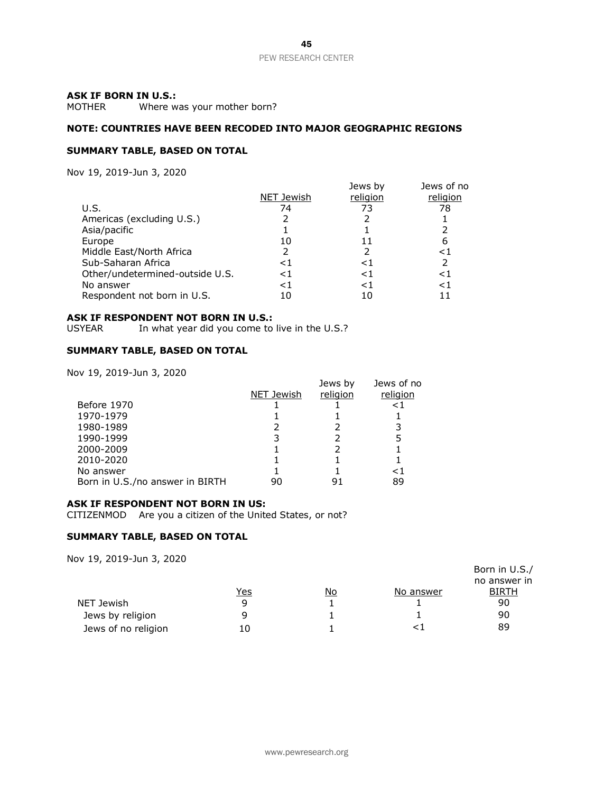### **ASK IF BORN IN U.S.:**

MOTHER Where was your mother born?

### **NOTE: COUNTRIES HAVE BEEN RECODED INTO MAJOR GEOGRAPHIC REGIONS**

### **SUMMARY TABLE, BASED ON TOTAL**

Nov 19, 2019-Jun 3, 2020

|                                 |            | Jews by  | Jews of no |
|---------------------------------|------------|----------|------------|
|                                 | NET Jewish | religion | religion   |
| U.S.                            | 74         | 73       | 78         |
| Americas (excluding U.S.)       |            |          |            |
| Asia/pacific                    |            |          |            |
| Europe                          | 10         |          | 6          |
| Middle East/North Africa        |            |          | ${<}1$     |
| Sub-Saharan Africa              | <1         | <1       | 2          |
| Other/undetermined-outside U.S. | ${<}1$     | $\leq$ 1 | ${<}1$     |
| No answer                       | ${<}1$     | <1       | ${<}1$     |
| Respondent not born in U.S.     | 10         | 10       |            |

#### **ASK IF RESPONDENT NOT BORN IN U.S.:**

USYEAR In what year did you come to live in the U.S.?

### **SUMMARY TABLE, BASED ON TOTAL**

Nov 19, 2019-Jun 3, 2020

|                                 |            | Jews by  | Jews of no |
|---------------------------------|------------|----------|------------|
|                                 | NET Jewish | religion | religion   |
| Before 1970                     |            |          | ≤1         |
| 1970-1979                       |            |          |            |
| 1980-1989                       |            |          |            |
| 1990-1999                       |            |          |            |
| 2000-2009                       |            |          |            |
| 2010-2020                       |            |          |            |
| No answer                       |            |          | - 1        |
| Born in U.S./no answer in BIRTH | 90         |          | 89         |

### **ASK IF RESPONDENT NOT BORN IN US:**

CITIZENMOD Are you a citizen of the United States, or not?

#### **SUMMARY TABLE, BASED ON TOTAL**

| $101 + 27 = 010$    |     |    |           | Born in U.S./<br>no answer in |
|---------------------|-----|----|-----------|-------------------------------|
|                     | Yes | No | No answer | <b>BIRTH</b>                  |
| NET Jewish          | q   |    |           | 90                            |
| Jews by religion    |     |    |           | 90                            |
| Jews of no religion | 10  |    |           | 89                            |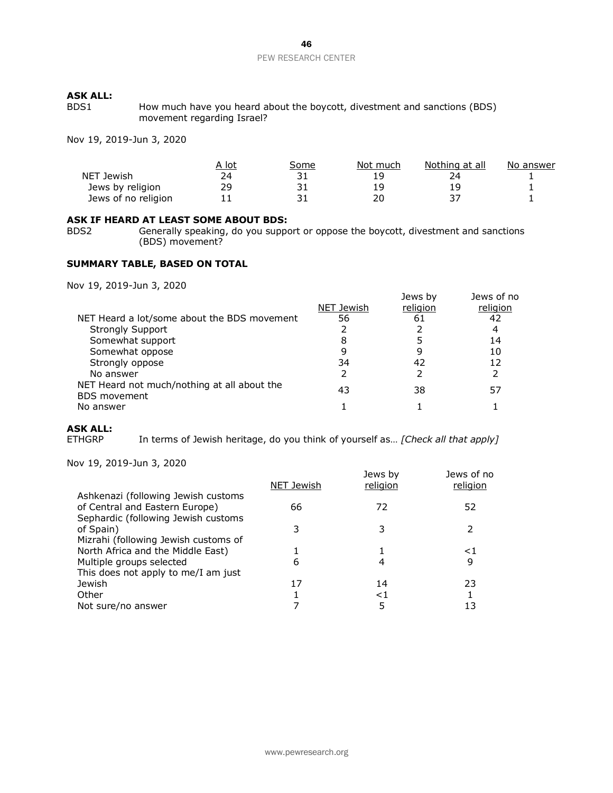# **ASK ALL:**

How much have you heard about the boycott, divestment and sanctions (BDS) movement regarding Israel?

Nov 19, 2019-Jun 3, 2020

|                     | A lot | Some | Not much | Nothing at all | No answer |
|---------------------|-------|------|----------|----------------|-----------|
| NET Jewish          | 74.   |      | 1 Q      |                |           |
| Jews by religion    | 29    |      | 1 Q      |                |           |
| Jews of no religion |       |      | ⊇∩⊑      |                |           |

# **ASK IF HEARD AT LEAST SOME ABOUT BDS:**<br>BDS2 Generally speaking, do you suppo

Generally speaking, do you support or oppose the boycott, divestment and sanctions (BDS) movement?

### **SUMMARY TABLE, BASED ON TOTAL**

Nov 19, 2019-Jun 3, 2020

|                                                                    |            | Jews by  | Jews of no |
|--------------------------------------------------------------------|------------|----------|------------|
|                                                                    | NET Jewish | religion | religion   |
| NET Heard a lot/some about the BDS movement                        | 56         | 61       | 42         |
| <b>Strongly Support</b>                                            |            |          | 4          |
| Somewhat support                                                   | 8          |          | 14         |
| Somewhat oppose                                                    | 9          | 9        | 10         |
| Strongly oppose                                                    | 34         | 42       | 12         |
| No answer                                                          |            |          |            |
| NET Heard not much/nothing at all about the<br><b>BDS</b> movement | 43         | 38       | 57         |
| No answer                                                          |            |          |            |

### **ASK ALL:**

ETHGRP In terms of Jewish heritage, do you think of yourself as... *[Check all that apply]* 

| 00 19, 2019 JUN 9, 2020              | NET Jewish | Jews by<br>religion | Jews of no<br>religion |
|--------------------------------------|------------|---------------------|------------------------|
| Ashkenazi (following Jewish customs  |            |                     |                        |
| of Central and Eastern Europe)       | 66         | 72                  | 52                     |
| Sephardic (following Jewish customs  |            |                     |                        |
| of Spain)                            |            |                     | 2                      |
| Mizrahi (following Jewish customs of |            |                     |                        |
| North Africa and the Middle East)    |            |                     | ${<}1$                 |
| Multiple groups selected             | 6          | 4                   | 9                      |
| This does not apply to me/I am just  |            |                     |                        |
| Jewish                               | 17         | 14                  | 23                     |
| Other                                |            | ${<}1$              |                        |
| Not sure/no answer                   |            | 5                   | 13                     |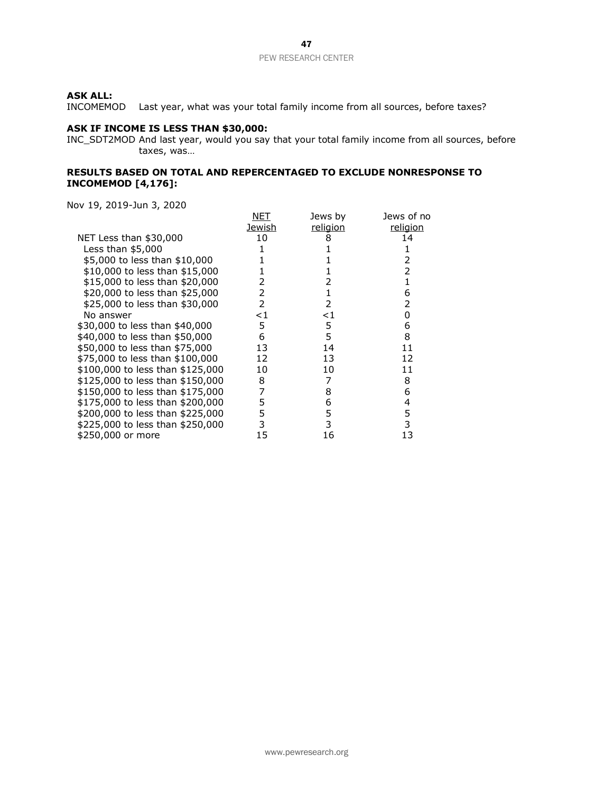INCOMEMOD Last year, what was your total family income from all sources, before taxes?

### **ASK IF INCOME IS LESS THAN \$30,000:**

INC\_SDT2MOD And last year, would you say that your total family income from all sources, before taxes, was…

### **RESULTS BASED ON TOTAL AND REPERCENTAGED TO EXCLUDE NONRESPONSE TO INCOMEMOD [4,176]:**

|                                  | NET    | Jews by         | Jews of no |
|----------------------------------|--------|-----------------|------------|
|                                  | Jewish | <u>religion</u> | religion   |
| NET Less than \$30,000           | 10     | 8               | 14         |
| Less than $$5,000$               |        |                 |            |
| \$5,000 to less than \$10,000    |        |                 |            |
| \$10,000 to less than \$15,000   |        |                 |            |
| \$15,000 to less than \$20,000   |        |                 |            |
| \$20,000 to less than \$25,000   | 2      |                 | 6          |
| \$25,000 to less than \$30,000   | 2      | $\mathcal{P}$   | 2          |
| No answer                        | ${<}1$ | ${<}1$          | O          |
| \$30,000 to less than \$40,000   | 5      | 5               | 6          |
| \$40,000 to less than \$50,000   | 6      | 5               | 8          |
| \$50,000 to less than \$75,000   | 13     | 14              | 11         |
| \$75,000 to less than \$100,000  | 12     | 13              | 12         |
| \$100,000 to less than \$125,000 | 10     | 10              | 11         |
| \$125,000 to less than \$150,000 | 8      |                 | 8          |
| \$150,000 to less than \$175,000 | 7      | 8               | 6          |
| \$175,000 to less than \$200,000 | 5      | 6               | 4          |
| \$200,000 to less than \$225,000 | 5      | 5               | 5          |
| \$225,000 to less than \$250,000 | 3      | 3               | 3          |
| \$250,000 or more                | 15     | 16              | 13         |
|                                  |        |                 |            |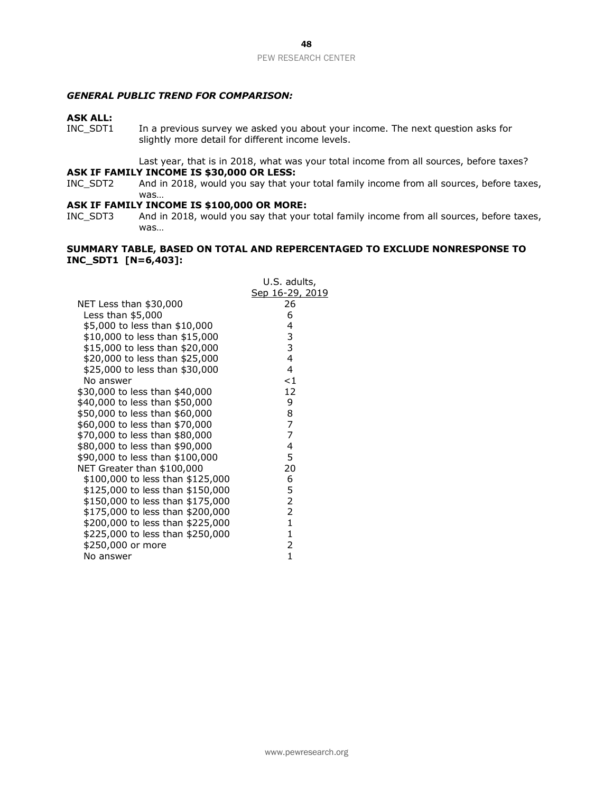### *GENERAL PUBLIC TREND FOR COMPARISON:*

# **ASK ALL:**

In a previous survey we asked you about your income. The next question asks for slightly more detail for different income levels.

Last year, that is in 2018, what was your total income from all sources, before taxes? **ASK IF FAMILY INCOME IS \$30,000 OR LESS:**<br>INC\_SDT2 And in 2018, would you say that you

And in 2018, would you say that your total family income from all sources, before taxes, was…

### **ASK IF FAMILY INCOME IS \$100,000 OR MORE:**

INC\_SDT3 And in 2018, would you say that your total family income from all sources, before taxes, was…

### **SUMMARY TABLE, BASED ON TOTAL AND REPERCENTAGED TO EXCLUDE NONRESPONSE TO INC\_SDT1 [N=6,403]:**

|                                  | U.S. adults,    |
|----------------------------------|-----------------|
|                                  | Sep 16-29, 2019 |
| NET Less than \$30,000           | 26              |
| Less than $$5,000$               | 6               |
| \$5,000 to less than \$10,000    | 4               |
| \$10,000 to less than \$15,000   | 3               |
| \$15,000 to less than \$20,000   | 3               |
| \$20,000 to less than \$25,000   | $\overline{4}$  |
| \$25,000 to less than \$30,000   | $\overline{4}$  |
| No answer                        | $<$ 1           |
| \$30,000 to less than \$40,000   | 12              |
| \$40,000 to less than \$50,000   | 9               |
| \$50,000 to less than \$60,000   | 8               |
| \$60,000 to less than \$70,000   | $\overline{7}$  |
| \$70,000 to less than \$80,000   | $\overline{7}$  |
| \$80,000 to less than \$90,000   | 4               |
| \$90,000 to less than \$100,000  | 5               |
| NET Greater than \$100,000       | 20              |
| \$100,000 to less than \$125,000 | 6               |
| \$125,000 to less than \$150,000 | 5               |
| \$150,000 to less than \$175,000 | 2               |
| \$175,000 to less than \$200,000 | $\overline{2}$  |
| \$200,000 to less than \$225,000 | $\mathbf{1}$    |
| \$225,000 to less than \$250,000 | $\mathbf{1}$    |
| \$250,000 or more                | 2               |
| No answer                        | 1               |
|                                  |                 |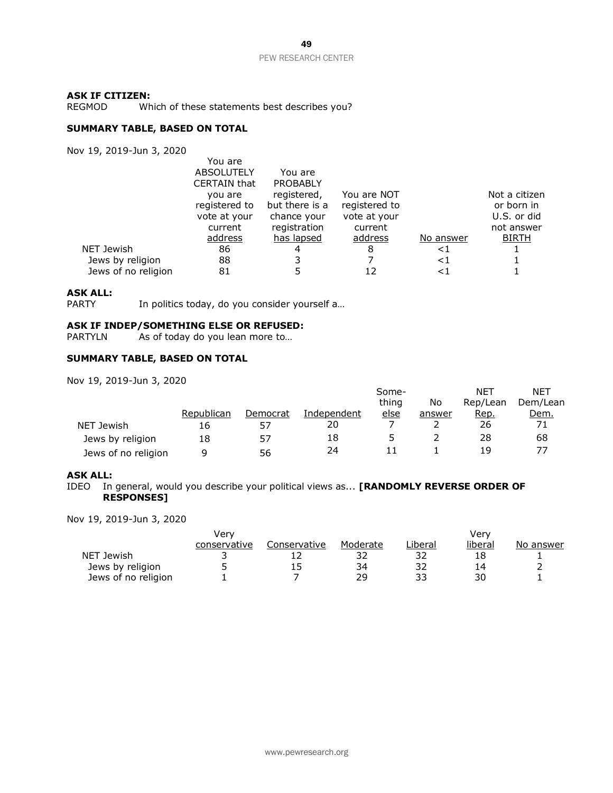#### **ASK IF CITIZEN:**

REGMOD Which of these statements best describes you?

### **SUMMARY TABLE, BASED ON TOTAL**

Nov 19, 2019-Jun 3, 2020

|                     | You are             |                 |               |           |               |
|---------------------|---------------------|-----------------|---------------|-----------|---------------|
|                     | <b>ABSOLUTELY</b>   | You are         |               |           |               |
|                     | <b>CERTAIN that</b> | <b>PROBABLY</b> |               |           |               |
|                     | you are             | registered,     | You are NOT   |           | Not a citizen |
|                     | registered to       | but there is a  | registered to |           | or born in    |
|                     | vote at your        | chance your     | vote at your  |           | U.S. or did   |
|                     | current             | registration    | current       |           | not answer    |
|                     | address             | has lapsed      | address       | No answer | <b>BIRTH</b>  |
| NET Jewish          | 86                  | 4               | 8             | ${<}1$    |               |
| Jews by religion    | 88                  |                 |               | $\leq$ 1  |               |
| Jews of no religion | 81                  |                 |               | $\leq$ 1  |               |
|                     |                     |                 |               |           |               |

### **ASK ALL:**

PARTY In politics today, do you consider yourself a...

# **ASK IF INDEP/SOMETHING ELSE OR REFUSED:**<br>PARTYLN As of today do you lean more to...

As of today do you lean more to...

### **SUMMARY TABLE, BASED ON TOTAL**

Nov 19, 2019-Jun 3, 2020

|                     |            |          |             | Some-       |        | <b>NET</b> | <b>NET</b> |
|---------------------|------------|----------|-------------|-------------|--------|------------|------------|
|                     |            |          |             | thing       | No     | Rep/Lean   | Dem/Lean   |
|                     | Republican | Democrat | Independent | <u>else</u> | answer | Rep.       | Dem.       |
| NET Jewish          | 16         | 57       | 20          |             |        | 26         |            |
| Jews by religion    | 18         | 57       | 18          |             |        | 28         | 68         |
| Jews of no religion | a          | 56       | 24          |             |        | 19         |            |

### **ASK ALL:**

IDEO In general, would you describe your political views as... **[RANDOMLY REVERSE ORDER OF RESPONSES]**

| Verv         |              |          |         | Verv    |           |
|--------------|--------------|----------|---------|---------|-----------|
| conservative | Conservative | Moderate | _iberal | liberal | No answer |
|              |              |          |         | 18      |           |
|              | 15           | 34       |         | 14      |           |
|              |              | 29       | っっ      | 30      |           |
|              |              |          |         |         |           |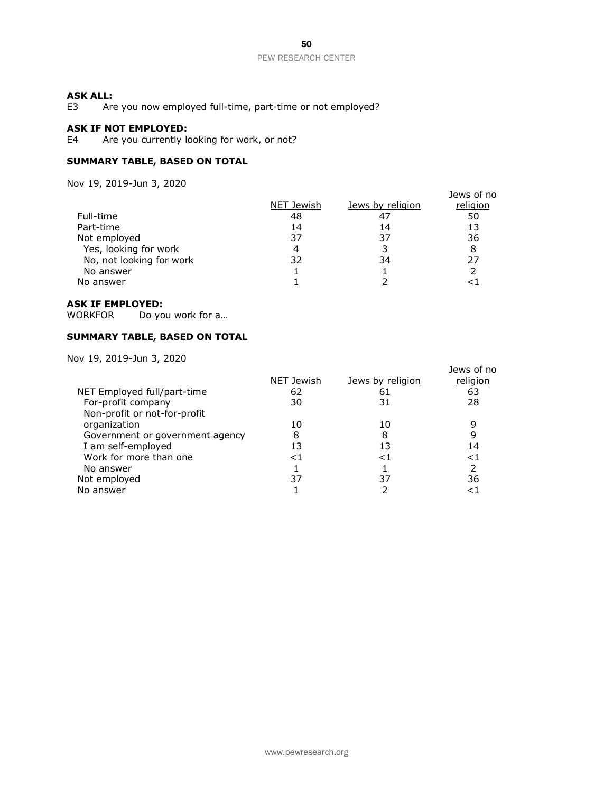### **ASK ALL:**

E3 Are you now employed full-time, part-time or not employed?

### **ASK IF NOT EMPLOYED:**

E4 Are you currently looking for work, or not?

### **SUMMARY TABLE, BASED ON TOTAL**

Nov 19, 2019-Jun 3, 2020

|                          |            |                  | Jews of no |
|--------------------------|------------|------------------|------------|
|                          | NET Jewish | Jews by religion | religion   |
| Full-time                | 48         | 47               | 50         |
| Part-time                | 14         | 14               | 13         |
| Not employed             | 37         | 37               | 36         |
| Yes, looking for work    |            |                  | 8          |
| No, not looking for work | 32         | 34               | 27         |
| No answer                |            |                  |            |
| No answer                |            |                  |            |
|                          |            |                  |            |

### **ASK IF EMPLOYED:**

WORKFOR Do you work for a...

### **SUMMARY TABLE, BASED ON TOTAL**

|        |            | Jews of no       |
|--------|------------|------------------|
|        |            | religion         |
| 62     | 61         | 63               |
| 30     | 31         | 28               |
|        |            |                  |
| 10     | 10         | 9                |
| 8      | 8          | 9                |
| 13     | 13         | 14               |
| ${<}1$ | < ⊺        | ${<}1$           |
|        |            | 2                |
| 37     | 37         | 36               |
|        |            | <1               |
|        | NET Jewish | Jews by religion |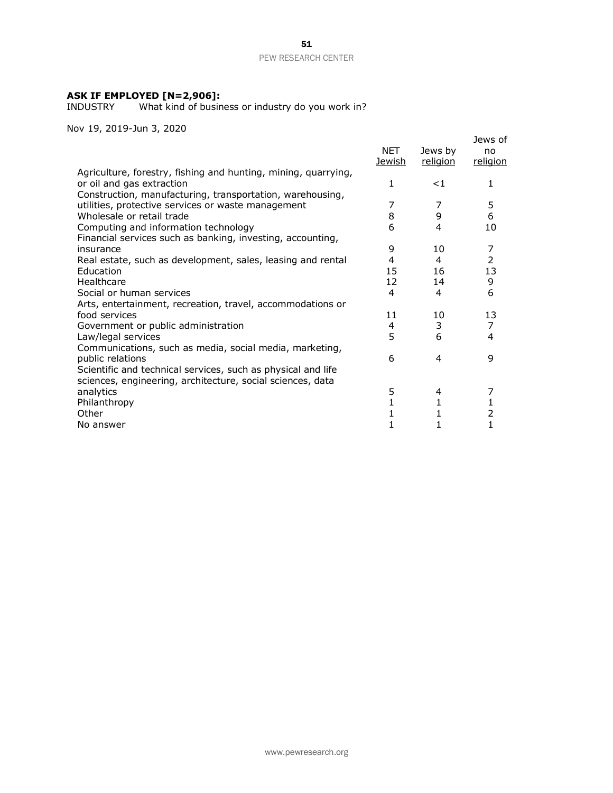### **ASK IF EMPLOYED [N=2,906]:**

INDUSTRY What kind of business or industry do you work in?

| IUV 19, ZUI9-JUII 9, ZUZU                                                                                                                                |               |                     |                           |
|----------------------------------------------------------------------------------------------------------------------------------------------------------|---------------|---------------------|---------------------------|
|                                                                                                                                                          | NET<br>Jewish | Jews by<br>religion | Jews of<br>no<br>religion |
| Agriculture, forestry, fishing and hunting, mining, quarrying,<br>or oil and gas extraction<br>Construction, manufacturing, transportation, warehousing, | $\mathbf{1}$  | ${<}1$              | 1                         |
| utilities, protective services or waste management                                                                                                       | 7             | 7                   | 5                         |
| Wholesale or retail trade                                                                                                                                | 8             | 9                   | 6                         |
| Computing and information technology<br>Financial services such as banking, investing, accounting,                                                       | 6             | 4                   | 10                        |
| insurance                                                                                                                                                | 9             | 10                  | 7                         |
| Real estate, such as development, sales, leasing and rental                                                                                              | 4             | 4                   | $\overline{2}$            |
| Education                                                                                                                                                | 15            | 16                  | 13                        |
| Healthcare                                                                                                                                               | 12            | 14                  | 9                         |
| Social or human services                                                                                                                                 | 4             | 4                   | 6                         |
| Arts, entertainment, recreation, travel, accommodations or                                                                                               |               |                     |                           |
| food services                                                                                                                                            | 11            | 10                  | 13                        |
| Government or public administration                                                                                                                      | 4             | 3                   | $\overline{7}$            |
| Law/legal services                                                                                                                                       | 5             | 6                   | 4                         |
| Communications, such as media, social media, marketing,                                                                                                  |               |                     |                           |
| public relations                                                                                                                                         | 6             | 4                   | 9                         |
| Scientific and technical services, such as physical and life<br>sciences, engineering, architecture, social sciences, data                               |               |                     |                           |
| analytics                                                                                                                                                | 5             | 4                   | 7                         |
| Philanthropy                                                                                                                                             | $\mathbf{1}$  | 1                   | 1                         |
| Other                                                                                                                                                    | 1             | 1                   | 2                         |
| No answer                                                                                                                                                | 1             | 1                   | 1                         |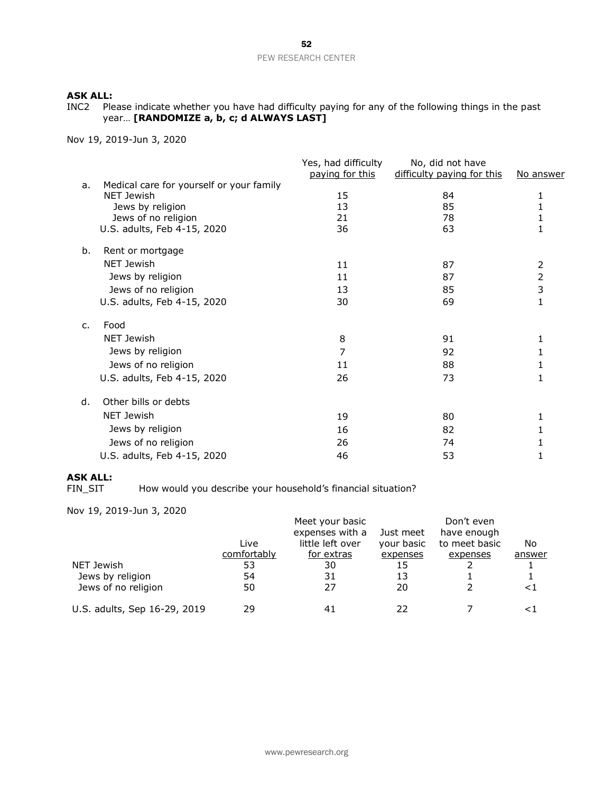INC2 Please indicate whether you have had difficulty paying for any of the following things in the past year… **[RANDOMIZE a, b, c; d ALWAYS LAST]**

Nov 19, 2019-Jun 3, 2020

|                |                                                        | Yes, had difficulty<br>paying for this | No, did not have<br>difficulty paying for this | No answer |
|----------------|--------------------------------------------------------|----------------------------------------|------------------------------------------------|-----------|
| a.             | Medical care for yourself or your family<br>NET Jewish | 15                                     | 84                                             | 1         |
|                | Jews by religion                                       | 13                                     | 85                                             | 1         |
|                | Jews of no religion                                    | 21                                     | 78                                             |           |
|                | U.S. adults, Feb 4-15, 2020                            | 36                                     | 63                                             |           |
| b.             | Rent or mortgage                                       |                                        |                                                |           |
|                | NET Jewish                                             | 11                                     | 87                                             | 2         |
|                | Jews by religion                                       | 11                                     | 87                                             | 2         |
|                | Jews of no religion                                    | 13                                     | 85                                             | 3         |
|                | U.S. adults, Feb 4-15, 2020                            | 30                                     | 69                                             | 1         |
| $\mathsf{C}$ . | Food                                                   |                                        |                                                |           |
|                | NET Jewish                                             | 8                                      | 91                                             | 1         |
|                | Jews by religion                                       | 7                                      | 92                                             | 1         |
|                | Jews of no religion                                    | 11                                     | 88                                             |           |
|                | U.S. adults, Feb 4-15, 2020                            | 26                                     | 73                                             | 1         |
| d.             | Other bills or debts                                   |                                        |                                                |           |
|                | NET Jewish                                             | 19                                     | 80                                             | 1         |
|                | Jews by religion                                       | 16                                     | 82                                             |           |
|                | Jews of no religion                                    | 26                                     | 74                                             |           |
|                | U.S. adults, Feb 4-15, 2020                            | 46                                     | 53                                             |           |

### **ASK ALL:**

FIN\_SIT How would you describe your household's financial situation?

Nov 19, 2019-Jun 3, 2020

|                              |             | Meet your basic  |            | Don't even    |        |
|------------------------------|-------------|------------------|------------|---------------|--------|
|                              |             | expenses with a  | Just meet  | have enough   |        |
|                              | Live        | little left over | your basic | to meet basic | No     |
|                              | comfortably | for extras       | expenses   | expenses      | answer |
| NET Jewish                   | 53          | 30               | 15         |               |        |
| Jews by religion             | 54          | 31               | 13         |               |        |
| Jews of no religion          | 50          | 27               | 20         |               | ${<}1$ |
| U.S. adults, Sep 16-29, 2019 | 29          | 41               | 22         |               | <1     |

52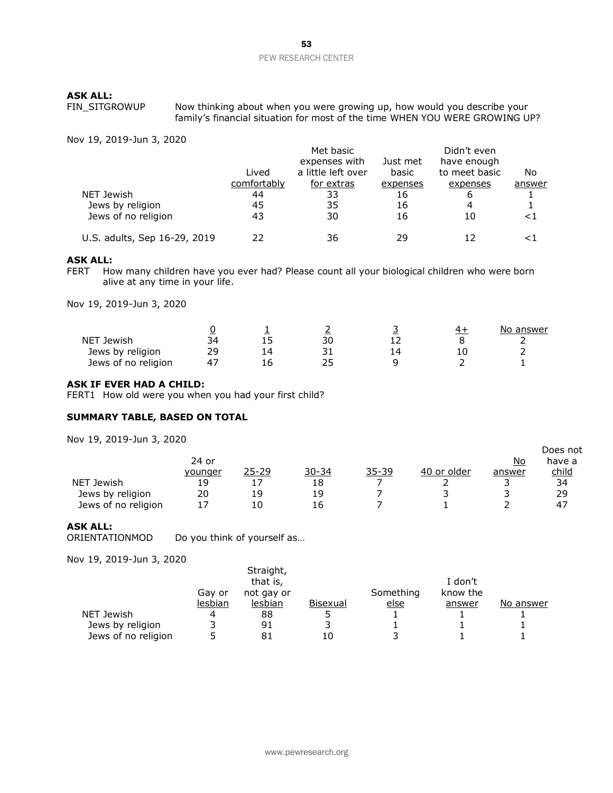**ASK ALL:** FIN\_SITGROWUP Now thinking about when you were growing up, how would you describe your family's financial situation for most of the time WHEN YOU WERE GROWING UP?

Nov 19, 2019-Jun 3, 2020

|                              |             | Met basic          |          | Didn't even   |        |
|------------------------------|-------------|--------------------|----------|---------------|--------|
|                              |             | expenses with      | Just met | have enough   |        |
|                              | Lived       | a little left over | basic    | to meet basic | No     |
|                              | comfortably | for extras         | expenses | expenses      | answer |
| NET Jewish                   | 44          | 33                 | 16       | 6             |        |
| Jews by religion             | 45          | 35                 | 16       | 4             |        |
| Jews of no religion          | 43          | 30                 | 16       | 10            | ${<}1$ |
| U.S. adults, Sep 16-29, 2019 | 22          | 36                 | 29       | 12            |        |

### **ASK ALL:**

FERT How many children have you ever had? Please count all your biological children who were born alive at any time in your life.

Nov 19, 2019-Jun 3, 2020

|                     |  |    |  | No answer |
|---------------------|--|----|--|-----------|
| NET<br>้ Jewish     |  | 30 |  |           |
| Jews by religion    |  |    |  |           |
| Jews of no religion |  |    |  |           |

### **ASK IF EVER HAD A CHILD:**

FERT1 How old were you when you had your first child?

### **SUMMARY TABLE, BASED ON TOTAL**

Nov 19, 2019-Jun 3, 2020

|                      | 24 or   |       |           |       |             | No     | have a       |
|----------------------|---------|-------|-----------|-------|-------------|--------|--------------|
|                      | younger | 25-29 | $30 - 34$ | 35-39 | 40 or older | answer | <u>child</u> |
| <b>NET</b><br>Jewish | 19      |       | 18        |       |             |        | 34           |
| Jews by religion     | 20      | 19    | 19        |       |             |        | 29           |
| Jews of no religion  | . .     |       | 16        |       |             |        | 47           |

Does not

### **ASK ALL:**

ORIENTATIONMOD Do you think of yourself as...

| ,, 19, 2019 Juli 9, 2020 |         |                       |          |             |          |                  |
|--------------------------|---------|-----------------------|----------|-------------|----------|------------------|
|                          |         | Straight,<br>that is, |          |             | I don't  |                  |
|                          | Gay or  | not gay or            |          | Something   | know the |                  |
|                          | lesbian | lesbian               | Bisexual | <u>else</u> | answer   | <u>No answer</u> |
| NET Jewish               |         | 88                    |          |             |          |                  |
| Jews by religion         |         | 91                    |          |             |          |                  |
| Jews of no religion      |         | 81                    | 10       |             |          |                  |
|                          |         |                       |          |             |          |                  |